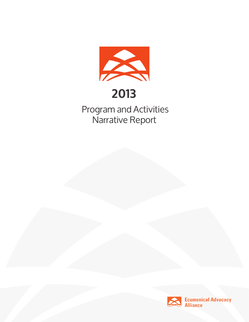

# **2013**

 Program and Activities Narrative Report

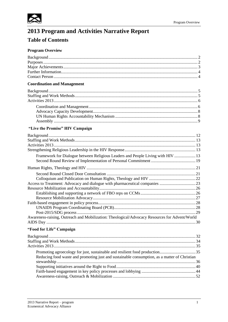

### 2013 Program and Activities Narrative Report

### **Table of Contents**

### **Program Overview**

| <b>Coordination and Management</b> |  |
|------------------------------------|--|
|                                    |  |
|                                    |  |
|                                    |  |
|                                    |  |
|                                    |  |
|                                    |  |
|                                    |  |
|                                    |  |

### "Live the Promise" HIV Campaign

| Framework for Dialogue between Religious Leaders and People Living with HIV  13               |  |
|-----------------------------------------------------------------------------------------------|--|
|                                                                                               |  |
|                                                                                               |  |
|                                                                                               |  |
|                                                                                               |  |
|                                                                                               |  |
|                                                                                               |  |
|                                                                                               |  |
|                                                                                               |  |
|                                                                                               |  |
|                                                                                               |  |
|                                                                                               |  |
| Awareness-raising, Outreach and Mobilization: Theological/Advocacy Resources for Advent/World |  |
|                                                                                               |  |
| "Food for Life" Campaign                                                                      |  |
|                                                                                               |  |
|                                                                                               |  |
|                                                                                               |  |
| Promoting agroecology for just, sustainable and resilient food production35                   |  |
| Reducing food waste and promoting just and sustainable consumption, as a matter of Christian  |  |
|                                                                                               |  |
|                                                                                               |  |
|                                                                                               |  |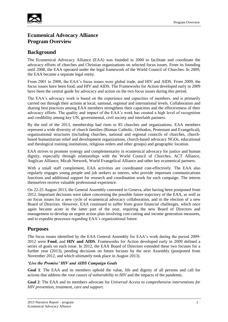

### **Ecumenical Advocacy Alliance Program Overview**

### **Background**

The Ecumenical Advocacy Alliance (EAA) was founded in 2000 to facilitate and coordinate the advocacy efforts of churches and Christian organizations on selected focus issues. From its founding until 2008, the EAA operated under the legal framework of the World Council of Churches. In 2009, the EAA became a separate legal entity.

From 2001 to 2008, the EAA's focus issues were global trade, and HIV and AIDS. From 2009, the focus issues have been food, and HIV and AIDS. The Frameworks for Action developed early in 2009 have been the central guide for advocacy and action on the two focus issues during this period.

The EAA's advocacy work is based on the experience and capacities of members, and is primarily carried out through their actions at local, national, regional and international levels. Collaboration and sharing best practices among EAA members strengthens their capacities and the effectiveness of their advocacy efforts. The quality and impact of the EAA's work has created a high level of recognition and credibility among key UN, governmental, civil society and interfaith partners.

By the end of the 2013, membership had risen to 85 churches and organizations. EAA members represent a wide diversity of church families (Roman Catholic, Orthodox, Protestant and Evangelical), organizational structures (including churches, national and regional councils of churches, churchbased humanitarian relief and development organizations, church-based advocacy NGOs, educational and theological training institutions, religious orders and other groups) and geographic location.

EAA strives to promote synergy and complementarity in ecumenical advocacy for justice and human dignity, especially through relationships with the World Council of Churches, ACT Alliance, Anglican Alliance, Micah Network, World Evangelical Alliance and other key ecumenical partners.

With a small staff complement, EAA activities are coordinated cost-effectively. The EAA also regularly engages young people and job seekers as interns, who provide important communications functions and additional support for research and coordination work for each campaign. The interns themselves receive valuable professional experience.

On 22-25 August 2013, the General Assembly convened in Geneva, after having been postponed from 2012. Important decisions were taken concerning the possible future trajectory of the EAA, as well as on focus issues for a new cycle of ecumenical advocacy collaboration, and in the election of a new Board of Directors. However, EAA continued to suffer from grave financial challenges, which once again became acute in the latter part of the year, requiring the new Board of Directors and management to develop an urgent action plan involving cost-cutting and income generation measures, and to expedite processes regarding EAA's organizational future.

### **Purposes**

The focus issues identified by the EAA General Assembly for EAA's work during the period 2009- 2012 were **Food**, and **HIV and AIDS**. Frameworks for Action developed early in 2009 defined a series of goals on each issue. In 2012, the EAA Board of Directors extended these two focuses for a further year (2013), pending decisions on future focuses by the next Assembly (postponed from November 2012, and which ultimately took place in August 2013).

### *'Live the Promise' HIV and AIDS Campaign Goals*

**Goal 1**: The EAA and its members uphold the value, life and dignity of all persons and call for actions that address the *root causes of vulnerability to HIV* and the impacts of the pandemic.

**Goal 2**: The EAA and its members advocate for *Universal Access to comprehensive interventions for HIV prevention, treatment, care and support.*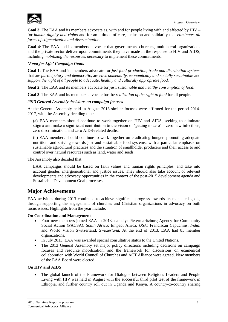

**Goal 3**: The EAA and its members advocate as, with and for people living with and affected by HIV – for *human dignity and rights* and for an attitude of care, inclusion and solidarity that *eliminates all forms of stigmatization and discrimination.* 

**Goal 4**: The EAA and its members advocate that governments, churches, multilateral organizations and the private sector deliver upon commitments they have made in the response to HIV and AIDS, including *mobilizing the resources necessary* to implement these commitments.

### *'Food for Life' Campaign Goals*

**Goal 1**: The EAA and its members advocate for *just food production, trade and distribution systems* that are *participatory and democratic*, are *environmentally, economically and socially sustainable* and *support the right of all people to adequate, healthy and culturally appropriate food.*

**Goal 2**: The EAA and its members advocate for *just, sustainable and healthy consumption of food*.

**Goal 3**: The EAA and its members advocate for the *realization of the right to food* for all people.

### *2013 General Assembly decisions on campaign focuses*

At the General Assembly held in August 2013 similar focuses were affirmed for the period 2014- 2017, with the Assembly deciding that:

(a) EAA members should continue to work together on HIV and AIDS, seeking to eliminate stigma and make a significant contribution to the vision of 'getting to zero' – zero new infections, zero discrimination, and zero AIDS-related deaths.

(b) EAA members should continue to work together on eradicating hunger, promoting adequate nutrition, and striving towards just and sustainable food systems, with a particular emphasis on sustainable agricultural practices and the situation of smallholder producers and their access to and control over natural resources such as land, water and seeds.

The Assembly also decided that:

EAA campaigns should be based on faith values and human rights principles, and take into account gender, intergenerational and justice issues. They should also take account of relevant developments and advocacy opportunities in the context of the post-2015 development agenda and Sustainable Development Goal processes.

### **Major Achievements**

EAA activities during 2013 continued to achieve significant progress towards its mandated goals, through supporting the engagement of churches and Christian organizations in advocacy on both focus issues. Highlights from the year include:

#### **On Coordination and Management**

- Four new members joined EAA in 2013, namely: Pietermaritzburg Agency for Community Social Action (PACSA), *South Africa*; Empact Africa, *USA;* Franciscan Capuchins*, India*; and World Vision Switzerland, *Switzerland.* At the end of 2013, EAA had 85 member organizations.
- In July 2013, EAA was awarded special consultative status to the United Nations.
- The 2013 General Assembly set major policy directions including decisions on campaign focuses and resource mobilization, and the framework for discussions on ecumenical collaboration with World Council of Churches and ACT Alliance were agreed. New members of the EAA Board were elected.

### **On HIV and AIDS**

 The global launch of the Framework for Dialogue between Religious Leaders and People Living with HIV was held in August with the successful third pilot test of the framework in Ethiopia, and further country roll out in Uganda and Kenya. A country-to-country sharing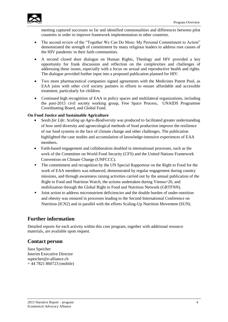

meeting captured successes so far and identified commonalities and differences between pilot countries in order to improve framework implementation in other countries.

- The second review of the "Together We Can Do More: My Personal Commitment to Action" demonstrated the strength of commitment by many religious leaders to address root causes of the HIV pandemic in their faith communities.
- A second closed door dialogue on Human Rights, Theology and HIV provided a key opportunity for frank discussion and reflection on the complexities and challenges of addressing these issues, especially with a focus on sexual and reproductive health and rights. The dialogue provided further input into a proposed publication planned for HIV.
- Two more pharmaceutical companies signed agreements with the Medicines Patent Pool, as EAA joins with other civil society partners in efforts to ensure affordable and accessible treatment, particularly for children.
- Continued high recognition of EAA in policy spaces and multilateral organizations, including the post-2015 civil society working group, Free Space Process, UNAIDS Programme Coordinating Board, and Global Fund.

### **On Food Justice and Sustainable Agriculture**

- *Seeds for Life: Scaling up Agro-Biodiversity* was produced to facilitated greater understanding of how seed diversity and agroecological methods of food production improve the resilience of our food systems in the face of climate change and other challenges. The publication highlighted the case studies and accumulation of knowledge-intensive experiences of EAA members.
- Faith-based engagement and collaboration doubled in international processes, such as the work of the Committee on World Food Security (CFS) and the United Nations Framework Convention on Climate Change (UNFCCC).
- The commitment and recognition by the UN Special Rapporteur on the Right to Food for the work of EAA members was enhanced, demonstrated by regular engagement during country missions, and through awareness raising activities carried out by the annual publication of the Right to Food and Nutrition Watch, the actions undertaken during Vienna+20, and mobilization through the Global Right to Food and Nutrition Network (GRTFNN).
- Joint action to address micronutrient deficiencies and the double burden of under-nutrition and obesity was ensured in processes leading to the Second International Conference on Nutrition (ICN2) and in parallel with the efforts Scaling-Up Nutrition Movement (SUN).

### **Further information**

Detailed reports for each activity within this core program, together with additional resource materials, are available upon request.

### **Contact person**

Sara Speicher Interim Executive Director sspeicher@e-alliance.ch + 44 7821 860723 (mobile)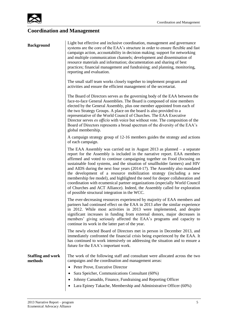

### **Coordination and Management**

| <b>Background</b> |  |  |
|-------------------|--|--|
|                   |  |  |

Light but effective and inclusive coordination, management and governance systems are the core of the EAA's structure in order to ensure flexible and fast campaign action, accountability in decision making; support for networking and multiple communication channels; development and dissemination of resource materials and information; documentation and sharing of best practices; financial management and fundraising; and planning, monitoring, reporting and evaluation.

The small staff team works closely together to implement program and activities and ensure the efficient management of the secretariat.

The Board of Directors serves as the governing body of the EAA between the face-to-face General Assemblies. The Board is composed of nine members elected by the General Assembly, plus one member appointed from each of the two Strategy Groups. A place on the board is also provided to a representative of the World Council of Churches. The EAA Executive Director serves *ex officio* with voice but without vote. The composition of the Board of Directors represents a broad spectrum of the diversity of the EAA's global membership.

A campaign strategy group of 12-16 members guides the strategy and actions of each campaign.

The EAA Assembly was carried out in August 2013 as planned – a separate report for the Assembly is included in the narrative report. EAA members affirmed and voted to continue campaigning together on Food (focusing on sustainable food systems, and the situation of smallholder farmers) and HIV and AIDS during the next four years (2014-17). The Assembly also mandated the development of a resource mobilization strategy (including a new membership fee model), and highlighted the need for deeper collaboration and coordination with ecumenical partner organizations (especially World Council of Churches and ACT Alliance). Indeed, the Assembly called for exploration of possible structural integration in the WCC.

The ever-decreasing resources experienced by majority of EAA members and partners had continued effect on the EAA in 2013 after the similar experience in 2012. While most activities in 2013 were implemented, and despite significant increases in funding from external donors, major decreases in members' giving seriously affected the EAA's programs and capacity to continue its work in the latter part of the year.

The newly elected Board of Directors met in person in December 2013, and immediately confronted the financial crisis being experienced by the EAA. It has continued to work intensively on addressing the situation and to ensure a future for the EAA's important work.

**Staffing and work methods** The work of the following staff and consultant were allocated across the two campaigns and the coordination and management areas:

- Peter Prove, Executive Director
- Sara Speicher, Communications Consultant (60%)
- Johnny Camaddo, Finance, Fundraising and Reporting Officer
- Lara Epiney Takache, Membership and Administrative Officer (60%)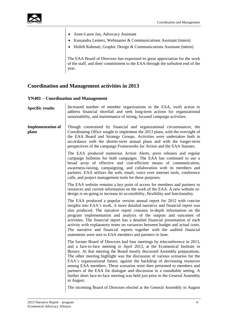

- Anne-Laure Jan, Advocacy Assistant
- Kassandra Lenters, Webmaster & Communications Assistant (intern)
- Holleh Rahmati, Graphic Design & Communications Assistant (intern)

The EAA Board of Directors has expressed its great appreciation for the work of the staff, and their commitment to the EAA through the turbulent end of the year.

### **Coordination and Management activities in 2013**

### **YN401 – Coordination and Management**

| <b>Specific results</b>           | Increased number of member organizations in the EAA, swift action to<br>address financial shortfall and seek long-term actions for organizational<br>sustainability, and maintenance of strong, focused campaign activities.                                                                                                                                                                                                                                                                                                                                                                                                                           |
|-----------------------------------|--------------------------------------------------------------------------------------------------------------------------------------------------------------------------------------------------------------------------------------------------------------------------------------------------------------------------------------------------------------------------------------------------------------------------------------------------------------------------------------------------------------------------------------------------------------------------------------------------------------------------------------------------------|
| <b>Implementation of</b><br>plans | Though constrained by financial and organizational circumstances, the<br>Coordinating Office sought to implement the 2013 plans, with the oversight of<br>the EAA Board and Strategy Groups. Activities were undertaken both in<br>accordance with the shorter-term annual plans and with the longer-term<br>perspectives of the campaign Frameworks for Action and the EAA Statutes.                                                                                                                                                                                                                                                                  |
|                                   | The EAA produced numerous Action Alerts, press releases and regular<br>campaign bulletins for both campaigns. The EAA has continued to use a<br>broad array of effective and cost-efficient means of communication,<br>awareness-raising, campaigning, and collaboration with its members and<br>partners. EAA utilizes the web, email, voice over internet tools, conference<br>calls, and project management tools for these purposes.                                                                                                                                                                                                               |
|                                   | The EAA website remains a key point of access for members and partners to<br>resources and current information on the work of the EAA. A new website re-<br>design is on-going to increase its accessibility, flexibility and functionality.                                                                                                                                                                                                                                                                                                                                                                                                           |
|                                   | The EAA produced a popular version annual report for 2012 with concise<br>insights into EAA's work. A more detailed narrative and financial report was<br>also produced. The narrative report contains in-depth information on the<br>program implementation and analysis of the outputs and outcomes of<br>activities. The financial report has a detailed financial presentation of each<br>activity with explanatory notes on variances between budget and actual costs.<br>The narrative and financial reports together with the audited financial<br>statements were sent to EAA members and partners in June.                                    |
|                                   | The former Board of Directors had four meetings by teleconference in 2013,<br>and a face-to-face meeting in April 2013, at the Ecumenical Institute in<br>Bossey. At that meeting the Board mostly discussed Assembly preparations.<br>The other meeting highlight was the discussion of various scenarios for the<br>EAA's organizational future, against the backdrop of decreasing resources<br>among EAA members. These scenarios were then presented to members and<br>partners of the EAA for dialogue and discussion in a roundtable setting. A<br>further short face-to-face meeting was held just prior to the General Assembly<br>in August. |
|                                   | The incoming Board of Directors elected at the General Assembly in August                                                                                                                                                                                                                                                                                                                                                                                                                                                                                                                                                                              |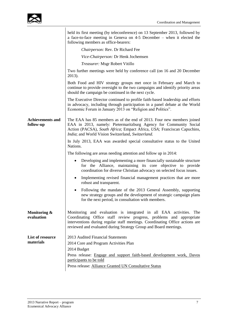

|                                      | held its first meeting (by teleconference) on 13 September 2013, followed by<br>a face-to-face meeting in Geneva on 4-5 December – when it elected the<br>following members as office-bearers:                                                                                                |
|--------------------------------------|-----------------------------------------------------------------------------------------------------------------------------------------------------------------------------------------------------------------------------------------------------------------------------------------------|
|                                      | Chairperson: Rev. Dr Richard Fee                                                                                                                                                                                                                                                              |
|                                      | Vice-Chairperson: Dr Henk Jochemsen                                                                                                                                                                                                                                                           |
|                                      | Treasurer: Msgr Robert Vitillo                                                                                                                                                                                                                                                                |
|                                      | Two further meetings were held by conference call (on 16 and 20 December<br>2013).                                                                                                                                                                                                            |
|                                      | Both Food and HIV strategy groups met once in February and March to<br>continue to provide oversight to the two campaigns and identify priority areas<br>should the campaign be continued in the next cycle.                                                                                  |
|                                      | The Executive Director continued to profile faith-based leadership and efforts<br>in advocacy, including through participation in a panel debate at the World<br>Economic Forum in January 2013 on "Religion and Politics".                                                                   |
| <b>Achievements and</b><br>follow-up | The EAA has 85 members as of the end of 2013. Four new members joined<br>EAA in 2013, namely: Pietermaritzburg Agency for Community Social<br>Action (PACSA), South Africa; Empact Africa, USA; Franciscan Capuchins,<br>India; and World Vision Switzerland, Switzerland.                    |
|                                      | In July 2013, EAA was awarded special consultative status to the United<br>Nations.                                                                                                                                                                                                           |
|                                      | The following are areas needing attention and follow up in 2014:                                                                                                                                                                                                                              |
|                                      | Developing and implementing a more financially sustainable structure<br>for the Alliance, maintaining its core objective to provide<br>coordination for diverse Christian advocacy on selected focus issues.                                                                                  |
|                                      | Implementing revised financial management practices that are more<br>$\bullet$<br>robust and transparent.                                                                                                                                                                                     |
|                                      | Following the mandate of the 2013 General Assembly, supporting<br>new strategy groups and the development of strategic campaign plans<br>for the next period, in consultation with members.                                                                                                   |
| Monitoring &<br>evaluation           | Monitoring and evaluation is integrated in all EAA activities. The<br>Coordinating Office staff review progress, problems and appropriate<br>interventions during regular staff meetings. Coordinating Office actions are<br>reviewed and evaluated during Strategy Group and Board meetings. |
| List of resource<br>materials        | 2013 Audited Financial Statements<br>2014 Core and Program Activities Plan<br>2014 Budget<br>Press release: Engage and support faith-based development work, Davos<br>participants to be told<br>Press release: Alliance Granted UN Consultative Status                                       |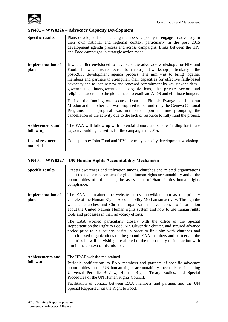

### **YN401 – WW0326 – Advocacy Capacity Development**

| <b>Specific results</b>              | Plans developed for enhancing members' capacity to engage in advocacy in<br>their own national and regional context particularly in the post 2015<br>development agenda process and across campaigns. Links between the HIV<br>and Food campaigns in strategic action made.                                                                                                                                                                                                                                                                             |
|--------------------------------------|---------------------------------------------------------------------------------------------------------------------------------------------------------------------------------------------------------------------------------------------------------------------------------------------------------------------------------------------------------------------------------------------------------------------------------------------------------------------------------------------------------------------------------------------------------|
| <b>Implementation of</b><br>plans    | It was earlier envisioned to have separate advocacy workshops for HIV and<br>Food. This was however revised to have a joint workshop particularly in the<br>post-2015 development agenda process. The aim was to bring together<br>members and partners to strengthen their capacities for effective faith-based<br>advocacy and to inspire new and renewed commitment by key stakeholders –<br>governments, intergovernmental organizations, the private sector, and<br>religious leaders – to the global need to eradicate AIDS and eliminate hunger. |
|                                      | Half of the funding was secured from the Finnish Evangelical Lutheran<br>Mission and the other half was proposed to be funded by the Geneva Cantonal<br>Programs. The proposal was not acted upon in time prompting the<br>cancellation of the activity due to the lack of resource to fully fund the project.                                                                                                                                                                                                                                          |
| <b>Achievements and</b><br>follow-up | The EAA will follow-up with potential donors and secure funding for future<br>capacity building activities for the campaigns in 2015.                                                                                                                                                                                                                                                                                                                                                                                                                   |
| List of resource<br>materials        | Concept note: Joint Food and HIV advocacy capacity development workshop                                                                                                                                                                                                                                                                                                                                                                                                                                                                                 |

### **YN401 – WW0327 – UN Human Rights Accountability Mechanism**

| <b>Specific results</b>           | Greater awareness and utilization among churches and related organizations<br>about the major mechanisms for global human rights accountability and of the<br>opportunities of influencing the assessment of State Parties human rights<br>compliance.                                                                                                                                                                                 |
|-----------------------------------|----------------------------------------------------------------------------------------------------------------------------------------------------------------------------------------------------------------------------------------------------------------------------------------------------------------------------------------------------------------------------------------------------------------------------------------|
| <b>Implementation of</b><br>plans | The EAA maintained the website http://hrap.wikidot.com as the primary<br>vehicle of the Human Rights Accountability Mechanism activity. Through the<br>website, churches and Christian organizations have access to information<br>about the United Nations Human rights system and how to use human rights<br>tools and processes in their advocacy efforts.                                                                          |
|                                   | The EAA worked particularly closely with the office of the Special<br>Rapporteur on the Right to Food, Mr. Oliver de Schutter, and secured advance<br>notice prior to his country visits in order to link him with churches and<br>church-based organizations on the ground. EAA members and partners in the<br>countries he will be visiting are alerted to the opportunity of interaction with<br>him in the context of his mission. |
| <b>Achievements and</b>           | The HRAP website maintained.                                                                                                                                                                                                                                                                                                                                                                                                           |
| follow-up                         | Periodic notifications to EAA members and partners of specific advocacy<br>opportunities in the UN human rights accountability mechanisms, including<br>Universal Periodic Review, Human Rights Treaty Bodies, and Special<br>Procedures of the UN Human Rights Council.<br>Facilitation of contact between EAA members and partners and the UN<br>Special Rapporteur on the Right to Food.                                            |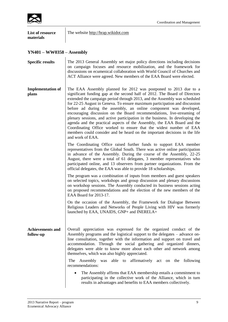

| List of resource<br>materials | The website http://hrap.wikidot.com |
|-------------------------------|-------------------------------------|
|                               |                                     |

## **YN401 – WW0358 – Assembly**

| <b>Specific results</b>              | The 2013 General Assembly set major policy directions including decisions<br>on campaign focuses and resource mobilization, and the framework for<br>discussions on ecumenical collaboration with World Council of Churches and<br>ACT Alliance were agreed. New members of the EAA Board were elected.                                                                                                                                                                                                                                                                                                                                                                                                                                                                                      |
|--------------------------------------|----------------------------------------------------------------------------------------------------------------------------------------------------------------------------------------------------------------------------------------------------------------------------------------------------------------------------------------------------------------------------------------------------------------------------------------------------------------------------------------------------------------------------------------------------------------------------------------------------------------------------------------------------------------------------------------------------------------------------------------------------------------------------------------------|
| <b>Implementation of</b><br>plans    | The EAA Assembly planned for 2012 was postponed to 2013 due to a<br>significant funding gap at the second half of 2012. The Board of Directors<br>extended the campaign period through 2013, and the Assembly was scheduled<br>for 22-25 August in Geneva. To ensure maximum participation and discussion<br>before ad during the assembly, an online component was developed,<br>encouraging discussion on the Board recommendations, live-streaming of<br>plenary sessions, and active participation in the business. In developing the<br>agenda and the practical aspects of the Assembly, the EAA Board and the<br>Coordinating Office worked to ensure that the widest number of EAA<br>members could consider and be heard on the important decisions in the life<br>and work of EAA. |
|                                      | The Coordinating Office raised further funds to support EAA member<br>representatives from the Global South. There was active online participation<br>in advance of the Assembly. During the course of the Assembly, 22-25<br>August, there were a total of 61 delegates, 3 member representatives who<br>participated online, and 13 observers from partner organizations. From the<br>official delegates, the EAA was able to provide 18 scholarships.                                                                                                                                                                                                                                                                                                                                     |
|                                      | The program was a combination of inputs from members and guest speakers<br>on selected topics, workshops and group discussion and plenary discussions<br>on workshop sessions. The Assembly conducted its business sessions acting<br>on proposed recommendations and the election of the new members of the<br>EAA Board for 2013-17.                                                                                                                                                                                                                                                                                                                                                                                                                                                       |
|                                      | On the occasion of the Assembly, the Framework for Dialogue Between<br>Religious Leaders and Networks of People Living with HIV was formerly<br>launched by EAA, UNAIDS, GNP+ and INERELA+                                                                                                                                                                                                                                                                                                                                                                                                                                                                                                                                                                                                   |
| <b>Achievements and</b><br>follow-up | Overall appreciation was expressed for the organized conduct of the<br>Assembly programs and the logistical support to the delegates – advance on-<br>line consultation, together with the information and support on travel and<br>accommodation. Through the social gathering and organized dinners,<br>delegates were able to know more about each other and network among<br>themselves, which was also highly appreciated.                                                                                                                                                                                                                                                                                                                                                              |
|                                      | able to affirmatively act on the<br>The<br>Assembly was<br>following<br>recommendations:                                                                                                                                                                                                                                                                                                                                                                                                                                                                                                                                                                                                                                                                                                     |
|                                      | The Assembly affirms that EAA membership entails a commitment to<br>participating in the collective work of the Alliance, which in turn<br>results in advantages and benefits to EAA members collectively.                                                                                                                                                                                                                                                                                                                                                                                                                                                                                                                                                                                   |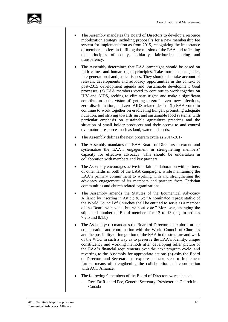

- The Assembly mandates the Board of Directors to develop a resource mobilization strategy including proposal/s for a new membership fee system for implementation as from 2015, recognizing the importance of membership fees in fulfilling the mission of the EAA and reflecting the principles of equity, solidarity, fair-burden sharing and transparency.
- The Assembly determines that EAA campaigns should be based on faith values and human rights principles. Take into account gender, intergenerational and justice issues. They should also take account of relevant developments and advocacy opportunities in the context of post-2015 development agenda and Sustainable development Goal processes. (a) EAA members voted to continue to work together on HIV and AIDS, seeking to eliminate stigma and make a significant contribution to the vision of 'getting to zero' – zero new infections, zero discrimination, and zero-AIDS related deaths. (b) EAA voted to continue to work together on eradicating hunger, promoting adequate nutrition, and striving towards just and sustainable food systems, with particular emphasis on sustainable agriculture practices and the situation of small holder producers and their access to and control over natural resources such as land, water and seeds.
- The Assembly defines the next program cycle as 2014-2017
- The Assembly mandates the EAA Board of Directors to extend and systematize the EAA's engagement in strengthening members' capacity for effective advocacy. This should be undertaken in collaboration with members and key partners.
- The Assembly encourages active interfaith collaboration with partners of other faiths in both of the EAA campaigns, while maintaining the EAA's primary commitment to working with and strengthening the advocacy engagement of its members and partners from Christian communities and church related-organizations.
- The Assembly amends the Statutes of the Ecumenical Advocacy Alliance by inserting in Article 8.1.c: "A nominated representative of the World Council of Churches shall be entitled to serve as a member of the Board with voice but without vote." Moreover, changing the stipulated number of Board members for 12 to 13 (e.g. in articles 7.2.b and 8.1.b)
- The Assembly: (a) mandates the Board of Directors to explore further collaboration and coordination with the World Council of Churches and the possibility of integration of the EAA in the structure and work of the WCC in such a way as to preserve the EAA's identity, unique constituency and working methods after developing fuller picture of the EAA's financial requirements over the next program cycle, and reverting to the Assembly for appropriate actions (b) asks the Board of Directors and Secretariat to explore and take steps to implement further means of strengthening the collaboration and coordination with ACT Alliance.
- The following 9 members of the Board of Directors were elected:
	- Rev. Dr Richard Fee, General Secretary, Presbyterian Church in Canada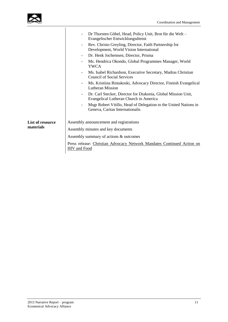

|                               | Dr Thorsten Göbel, Head, Policy Unit, Brot für die Welt-<br>$\overline{\phantom{0}}$<br>Evangelischer Entwicklungsdienst<br>Rev. Christo Greyling, Director, Faith Partnership for<br>$\qquad \qquad -$<br>Development, World Vision International<br>Dr. Henk Jochemsen, Director, Prisma<br>$\overline{\phantom{a}}$<br>Ms. Hendrica Okondo, Global Programmes Manager, World<br>$\overline{\phantom{a}}$ |  |  |
|-------------------------------|-------------------------------------------------------------------------------------------------------------------------------------------------------------------------------------------------------------------------------------------------------------------------------------------------------------------------------------------------------------------------------------------------------------|--|--|
|                               | <b>YWCA</b><br>Ms. Isabel Richardson, Executive Secretary, Madras Christian<br>$\overline{\phantom{a}}$<br><b>Council of Social Services</b>                                                                                                                                                                                                                                                                |  |  |
|                               | Ms. Kristiina Rintakoski, Advocacy Director, Finnish Evangelical<br>$\overline{\phantom{a}}$<br><b>Lutheran Mission</b>                                                                                                                                                                                                                                                                                     |  |  |
|                               | Dr. Carl Stecker, Director for Diakonia, Global Mission Unit,<br>-<br>Evangelical Lutheran Church in America                                                                                                                                                                                                                                                                                                |  |  |
|                               | Msgr Robert Vitillo, Head of Delegation to the United Nations in<br>Geneva, Caritas Internationalis                                                                                                                                                                                                                                                                                                         |  |  |
| List of resource<br>materials | Assembly announcement and registrations                                                                                                                                                                                                                                                                                                                                                                     |  |  |
|                               | Assembly minutes and key documents                                                                                                                                                                                                                                                                                                                                                                          |  |  |
|                               | Assembly summary of actions & outcomes                                                                                                                                                                                                                                                                                                                                                                      |  |  |
|                               | Press release: Christian Advocacy Network Mandates Continued Action on<br><b>HIV</b> and Food                                                                                                                                                                                                                                                                                                               |  |  |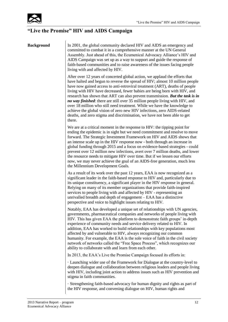

### **"Live the Promise" HIV and AIDS Campaign**

**Background** In 2001, the global community declared HIV and AIDS an emergency and committed to combat it in a comprehensive manner at the UN General Assembly. Just ahead of this, the Ecumenical Advocacy Alliance's HIV and AIDS Campaign was set up as a way to support and guide the response of faith-based communities and to raise awareness of the issues facing people living with and affected by HIV.

> After over 12 years of concerted global action, we applaud the efforts that have halted and begun to reverse the spread of HIV; almost 10 million people have now gained access to anti-retroviral treatment (ART), deaths of people living with HIV have decreased, fewer babies are being born with HIV, and research has shown that ART can also prevent transmission. *But the task is in no way finished*: there are still over 35 million people living with HIV, and over 18 million who still need treatment. While we have the knowledge to achieve the global vision of zero new HIV infections, zero AIDS-related deaths, and zero stigma and discrimination, we have not been able to get there.

> We are at a critical moment in the response to HIV: the tipping point for ending the epidemic is in sight but we need commitment and resolve to move forward. The Strategic Investment Framework on HIV and AIDS shows that an intense scale up in the HIV response now - both through an increase in global funding through 2015 and a focus on evidence-based strategies - could prevent over 12 million new infections, avert over 7 million deaths, and lower the resource needs to mitigate HIV over time. But if we lessen our efforts now, we may never achieve the goal of an AIDS-free generation, much less the Millennium Development Goals.

As a result of its work over the past 12 years, EAA is now recognized as a significant leader in the faith-based response to HIV and, particularly due to its unique constituency, a significant player in the HIV response in general. Relying on many of its member organizations that provide faith-inspired services to people living with and affected by HIV - representing an unrivalled breadth and depth of engagement – EAA has a distinctive perspective and voice to highlight issues relating to HIV.

Notably, EAA has developed a unique set of relationships with UN agencies, governments, pharmaceutical companies and networks of people living with HIV. This has given EAA the platform to demonstrate faith groups' in-depth experience of community needs and service delivery related to HIV. In addition, EAA has worked to build relationships with key populations most affected by and vulnerable to HIV, always recognizing our common humanity. For example, the EAA is the sole voice of faith in the civil society network of networks called the "Free Space Process", which recognizes our ability to collaborate with and learn from each other.

In 2013, the EAA's Live the Promise Campaign focused its efforts in:

· Launching wider use of the Framework for Dialogue at the country-level to deepen dialogue and collaboration between religious leaders and people living with HIV, including joint action to address issues such as HIV prevention and stigma in faith communities.

· Strengthening faith-based advocacy for human dignity and rights as part of the HIV response, and convening dialogue on HIV, human rights and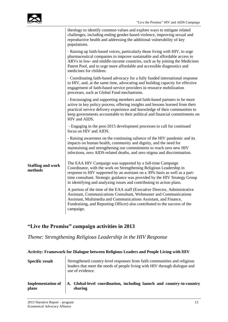

|                                     | theology to identify common values and explore ways to mitigate related<br>challenges, including ending gender-based violence, improving sexual and<br>reproductive health and addressing the additional vulnerability of key<br>populations.                                                                                                                           |
|-------------------------------------|-------------------------------------------------------------------------------------------------------------------------------------------------------------------------------------------------------------------------------------------------------------------------------------------------------------------------------------------------------------------------|
|                                     | Raising up faith-based voices, particularly those living with HIV, to urge<br>pharmaceutical companies to improve sustainable and affordable access to<br>ARVs in low- and middle-income countries, such as by joining the Medicines<br>Patent Pool, and to urge more affordable and accessible diagnostics and<br>medicines for children.                              |
|                                     | Coordinating faith-based advocacy for a fully funded international response<br>to HIV, and, at the same time, advocating and building capacity for effective<br>engagement of faith-based service providers in resource mobilization<br>processes, such as Global Fund mechanisms.                                                                                      |
|                                     | - Encouraging and supporting members and faith-based partners to be more<br>active in key policy process, offering insights and lessons learned from their<br>practical service delivery experience and knowledge of their communities to<br>keep governments accountable to their political and financial commitments on<br>HIV and AIDS.                              |
|                                     | - Engaging in the post-2015 development processes to call for continued<br>focus on HIV and AIDS.                                                                                                                                                                                                                                                                       |
|                                     | - Raising awareness on the continuing salience of the HIV pandemic and its<br>impacts on human health, community and dignity, and the need for<br>maintaining and strengthening our commitments to reach zero new HIV<br>infections, zero AIDS-related deaths, and zero stigma and discrimination.                                                                      |
| <b>Staffing and work</b><br>methods | The EAA HIV Campaign was supported by a full-time Campaign<br>Coordinator, with the work on Strengthening Religious Leadership in<br>response to HIV supported by an assistant on a 30% basis as well as a part-<br>time consultant. Strategic guidance was provided by the HIV Strategy Group<br>in identifying and analyzing issues and contributing to action plans. |
|                                     | A portion of the time of the EAA staff (Executive Director, Administrative<br>Assistant, Communications Consultant, Webmaster and Communications<br>Assistant, Multimedia and Communications Assistant, and Finance,<br>Fundraising, and Reporting Officer) also contributed to the success of the<br>campaign.                                                         |

### **"Live the Promise" campaign activities in 2013**

*Theme: Strengthening Religious Leadership in the HIV Response* 

| <b>Specific result</b>   | Strengthened country-level responses from faith communities and religious<br>leaders that meet the needs of people living with HIV through dialogue and<br>use of evidence. |
|--------------------------|-----------------------------------------------------------------------------------------------------------------------------------------------------------------------------|
| <b>Implementation of</b> | A. Global-level coordination, including launch and country-to-country                                                                                                       |
| plans                    | sharing                                                                                                                                                                     |

**Activity: Framework for Dialogue between Religious Leaders and People Living with HIV**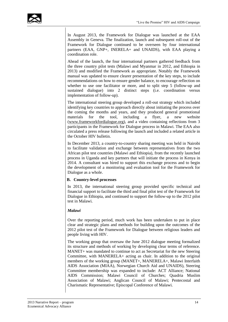In August 2013, the Framework for Dialogue was launched at the EAA Assembly in Geneva. The finalization, launch and subsequent roll-out of the Framework for Dialogue continued to be overseen by four international partners (EAA, GNP+, INERELA+ and UNAIDS), with EAA playing a coordination role.

Ahead of the launch, the four international partners gathered feedback from the three country pilot tests (Malawi and Myanmar in 2012, and Ethiopia in 2013) and modified the Framework as appropriate. Notably the Framework manual was updated to ensure clearer presentation of the key steps, to include recommendations on how to ensure gender balance, to encourage reflection on whether to use one facilitator or more, and to split step 5 (follow-up and sustained dialogue) into 2 distinct steps (i.e. coordination versus implementation of follow-up).

The international steering group developed a roll-out strategy which included identifying key countries to approach directly about initiating the process over the coming the months and years, and they produced general promotional materials for the tool, including a flyer, a new website [\(www.frameworkfordialogue.org\)](http://www.frameworkfordialogue.org/), and a video containing reflections from 3 participants in the Framework for Dialogue process in Malawi. The EAA also circulated a press release following the launch and included a related article in the October HIV bulletin.

In December 2013, a country-to-country sharing meeting was held in Nairobi to facilitate validation and exchange between representatives from the two African pilot test countries (Malawi and Ethiopia), from the recently launched process in Uganda and key partners that will initiate the process in Kenya in 2014. A consultant was hired to support this exchange process and to begin the development of a monitoring and evaluation tool for the Framework for Dialogue as a whole.

### **B. Country-level processes**

In 2013, the international steering group provided specific technical and financial support to facilitate the third and final pilot test of the Framework for Dialogue in Ethiopia, and continued to support the follow-up to the 2012 pilot test in Malawi.

### *Malawi*

Over the reporting period, much work has been undertaken to put in place clear and strategic plans and methods for building upon the outcomes of the 2012 pilot test of the Framework for Dialogue between religious leaders and people living with HIV.

The working group that oversaw the June 2012 dialogue meeting formalized its structure and methods of working by developing clear terms of reference. MANET+ was mandated to continue to act as Secretariat for the new Steering Committee, with MANERELA+ acting as chair. In addition to the original members of the working group (MANET+, MANERELA+, Malawi Interfaith AIDS Association (MIAA), Norwegian Church Aid and UNAIDS), Steering Committee membership was expanded to include: ACT Alliance; National AIDS Commission; Malawi Council of Churches; Quadria Muslim Association of Malawi; Anglican Council of Malawi; Pentecostal and Charismatic Representative; Episcopal Conference of Malawi.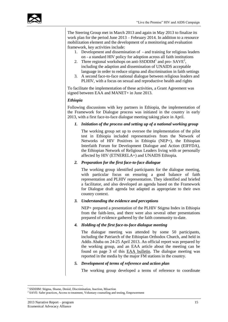

The Steering Group met in March 2013 and again in May 2013 to finalize its work plan for the period June 2013 – February 2014. In addition to a resource mobilization element and the development of a monitoring and evaluation framework, key activities include:

- 1. Development and dissemination of and training for religious leaders on - a standard HIV policy for adoption across all faith institutions
- 2. Three regional workshops on anti-SSDDIM<sup>1</sup> and pro-  $SAVE<sup>2</sup>$ , including the adaption and dissemination of UNAIDS acceptable language in order to reduce stigma and discrimination in faith settings
- 3. A second face-to-face national dialogue between religious leaders and PLHIV, with a focus on sexual and reproductive health and rights

To facilitate the implementation of these activities, a Grant Agreement was signed between EAA and MANET+ in June 2013.

### *Ethiopia*

Following discussions with key partners in Ethiopia, the implementation of the Framework for Dialogue process was initiated in the country in early 2013, with a first face-to-face dialogue meeting taking place in April.

*1. Initiation of the process and setting up of a national working group*

The working group set up to oversee the implementation of the pilot test in Ethiopia included representatives from the Network of Networks of HIV Positives in Ethiopia (NEP+), the Ethiopian Interfaith Forum for Development Dialogue and Action (EIFFDA), the Ethiopian Network of Religious Leaders living with or personally affected by HIV (ETNERELA+) and UNAIDS Ethiopia.

### *2. Preparation for the first face-to-face dialogue*

The working group identified participants for the dialogue meeting, with particular focus on ensuring a good balance of faith representation and PLHIV representation. They identified and briefed a facilitator, and also developed an agenda based on the Framework for Dialogue draft agenda but adapted as appropriate to their own country context.

#### *3. Understanding the evidence and perceptions*

NEP+ prepared a presentation of the PLHIV Stigma Index in Ethiopia from the faith-lens, and there were also several other presentations prepared of evidence gathered by the faith community to-date.

### *4. Holding of the first face-to-face dialogue meeting*

The dialogue meeting was attended by some 50 participants, including the Patriarch of the Ethiopian Orthodox Church, and held in Addis Ababa on 24-25 April 2013. An official report was prepared by the working group, and an EAA article about the meeting can be found on page 3 of this [EAA bulletin.](http://www.e-alliance.ch/typo3conf/ext/naw_securedl/secure.php?u=0&file=fileadmin/user_upload/docs/Bulletins/2013/HIV/WIP3_EAA_HIV-AIDS_May2013.pdf&t=1378221792&hash=59c2aae2ebf02acfa16171df6faf59e4) The dialogue meeting was reported in the media by the major FM stations in the country.

#### *5. Development of terms of reference and action plan*

The working group developed a terms of reference to coordinate

<sup>1</sup> <sup>1</sup> SSDDIM: Stigma, Shame, Denial, Discrimination, Inaction, Misaction

<sup>&</sup>lt;sup>2</sup> SAVE: Safer practices, Access to treatment, Voluntary counseling and testing, Empowerment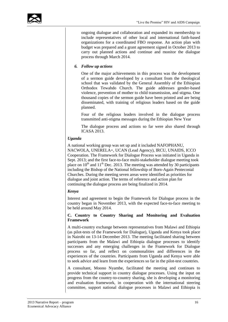ongoing dialogue and collaboration and expanded its membership to include representatives of other local and international faith-based organizations for a coordinated FBO response. An action plan with budget was prepared and a grant agreement signed in October 2013 to carry out planned actions and continue and monitor the dialogue process through March 2014.

### *6. Follow up actions*

One of the major achievements in this process was the development of a sermon guide developed by a consultant from the theological school that was validated by the General Assembly of the Ethiopian Orthodox Tewahdo Church. The guide addresses gender-based violence, prevention of mother to child transmission, and stigma. One thousand copies of the sermon guide have been printed and are being disseminated, with training of religious leaders based on the guide planned.

Four of the religious leaders involved in the dialogue process transmitted anti-stigma messages during the Ethiopian New Year

The dialogue process and actions so far were also shared through ICASA 2013.

### *Uganda*

A national working group was set up and it included NAFOPHANU, NACWOLA, UNERELA+, UCAN (Lead Agency), IRCU, UNAIDS, ICCO Cooperation. The Framework for Dialogue Process was initiated in Uganda in Sept. 2013; and the first face-to-face multi-stakeholder dialogue meeting took place on  $10^{th}$  and  $11^{th}$  Dec. 2013. The meeting was attended by 30 participants including the Bishop of the National fellowship of Born-Again Pentecostal Churches. During the meeting seven areas were identified as priorities for dialogue and joint action. The terms of reference and action plan for continuing the dialogue process are being finalized in 2014.

### *Kenya*

Interest and agreement to begin the Framework for Dialogue process in the country began in November 2013, with the expected face-to-face meeting to be held around May 2014.

### **C. Country to Country Sharing and Monitoring and Evaluation Framework**

A multi-country exchange between representatives from Malawi and Ethiopia (as pilot-tests of the Framework for Dialogue), Uganda and Kenya took place in Nairobi on 13-14 December 2013. The meeting facilitated sharing between participants from the Malawi and Ethiopia dialogue processes to identify successes and any emerging challenges in the Framework for Dialogue process so far, and reflect on commonalities and differences in the experiences of the countries. Participants from Uganda and Kenya were able to seek advice and learn from the experiences so far in the pilot-test countries.

A consultant, Moono Nyambe, facilitated the meeting and continues to provide technical support in country dialogue processes. Using the input on progress from the country-to-country sharing, she is developing a monitoring and evaluation framework, in cooperation with the international steering committee, support national dialogue processes in Malawi and Ethiopia is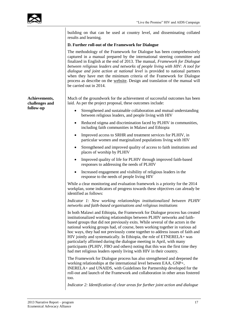|                                 | building on that can be used at country level, and disseminating collated<br>results and learning.                                                                                                                                                                                                                                                                                                                                                                                                                                                                                                                                                                                                                    |
|---------------------------------|-----------------------------------------------------------------------------------------------------------------------------------------------------------------------------------------------------------------------------------------------------------------------------------------------------------------------------------------------------------------------------------------------------------------------------------------------------------------------------------------------------------------------------------------------------------------------------------------------------------------------------------------------------------------------------------------------------------------------|
|                                 | D. Further roll-out of the Framework for Dialogue                                                                                                                                                                                                                                                                                                                                                                                                                                                                                                                                                                                                                                                                     |
|                                 | The methodology of the Framework for Dialogue has been comprehensively<br>captured in a manual prepared by the international steering committee and<br>finalized in English at the end of 2013. The manual, Framework for Dialogue<br>between religious leaders and networks of people living with HIV: A tool for<br>dialogue and joint action at national level is provided to national partners<br>when they have met the minimum criteria of the Framework for Dialogue<br>process as describe on the website. Design and translation of the manual will<br>be carried out in 2014.                                                                                                                               |
| Achievements,<br>challenges and | Much of the groundwork for the achievement of successful outcomes has been<br>laid. As per the project proposal, these outcomes include:                                                                                                                                                                                                                                                                                                                                                                                                                                                                                                                                                                              |
| follow-up                       | Strengthened and sustainable collaboration and mutual understanding<br>$\bullet$<br>between religious leaders, and people living with HIV                                                                                                                                                                                                                                                                                                                                                                                                                                                                                                                                                                             |
|                                 | Reduced stigma and discrimination faced by PLHIV in communities,<br>$\bullet$<br>including faith communities in Malawi and Ethiopia                                                                                                                                                                                                                                                                                                                                                                                                                                                                                                                                                                                   |
|                                 | Improved access to SRHR and treatment services for PLHIV, in<br>$\bullet$<br>particular women and marginalized populations living with HIV                                                                                                                                                                                                                                                                                                                                                                                                                                                                                                                                                                            |
|                                 | Strengthened and improved quality of access to faith institutions and<br>$\bullet$<br>places of worship by PLHIV                                                                                                                                                                                                                                                                                                                                                                                                                                                                                                                                                                                                      |
|                                 | Improved quality of life for PLHIV through improved faith-based<br>$\bullet$<br>responses to addressing the needs of PLHIV                                                                                                                                                                                                                                                                                                                                                                                                                                                                                                                                                                                            |
|                                 | Increased engagement and visibility of religious leaders in the<br>$\bullet$<br>response to the needs of people living HIV                                                                                                                                                                                                                                                                                                                                                                                                                                                                                                                                                                                            |
|                                 | While a clear monitoring and evaluation framework is a priority for the 2014<br>workplan, some indicators of progress towards these objectives can already be<br>identified as follows:                                                                                                                                                                                                                                                                                                                                                                                                                                                                                                                               |
|                                 | Indicator 1: New working relationships institutionalized between PLHIV<br>networks and faith-based organisations and religious institutions                                                                                                                                                                                                                                                                                                                                                                                                                                                                                                                                                                           |
|                                 | In both Malawi and Ethiopia, the Framework for Dialogue process has created<br>institutionalized working relationships between PLHIV networks and faith-<br>based groups that did not previously exits. While several of the actors in the<br>national working groups had, of course, been working together in various ad<br>hoc ways, they had not previously come together to address issues of faith and<br>HIV jointly and systematically. In Ethiopia, the role of ETNERELA+ was<br>particularly affirmed during the dialogue meeting in April, with many<br>participants (PLHIV, FBO and others) noting that this was the first time they<br>had met religious leaders openly living with HIV in their country. |
|                                 | The Framework for Dialogue process has also strengthened and deepened the<br>working relationships at the international level between EAA, GNP+,<br>INERELA+ and UNAIDS, with Guidelines for Partnership developed for the<br>roll-out and launch of the Framework and collaboration in other areas fostered<br>too.                                                                                                                                                                                                                                                                                                                                                                                                  |
|                                 | Indicator 2: Identification of clear areas for further joint action and dialogue                                                                                                                                                                                                                                                                                                                                                                                                                                                                                                                                                                                                                                      |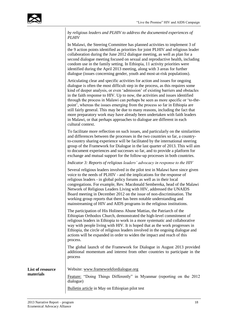|              |  |  | by religious leaders and PLHIV to address the documented experiences of |  |
|--------------|--|--|-------------------------------------------------------------------------|--|
| <i>PLHIV</i> |  |  |                                                                         |  |

In Malawi, the Steering Committee has planned activities to implement 3 of the 9 action points identified as priorities for joint PLHIV and religious leader collaboration during the June 2012 dialogue meeting, as well as plan for a second dialogue meeting focused on sexual and reproductive health, including condom use in the family setting. In Ethiopia, 11 activity priorities were identified during the April 2013 meeting, along with 3 areas for further dialogue (issues concerning gender, youth and most-at-risk populations).

Articulating clear and specific activities for action and issues for ongoing dialogue is often the most difficult step in the process, as this requires some kind of deeper analysis, or even 'admission' of existing barriers and obstacles in the faith response to HIV. Up to now, the activities and issues identified through the process in Malawi can perhaps be seen as more specific or 'to-thepoint', whereas the issues emerging from the process so far in Ethiopia are still fairly general. This may be due to many reasons, including the fact that more preparatory work may have already been undertaken with faith leaders in Malawi, or that perhaps approaches to dialogue are different in each cultural context.

To facilitate more reflection on such issues, and particularly on the similarities and differences between the processes in the two countries so far, a countryto-country sharing experience will be facilitated by the international steering group of the Framework for Dialogue in the last quarter of 2013. This will aim to document experiences and successes so far, and to provide a platform for exchange and mutual support for the follow-up processes in both countries.

### *Indicator 3: Reports of religious leaders' advocacy in response to the HIV*

Several religious leaders involved in the pilot test in Malawi have since given voice to the needs of PLHIV - and the implications for the response of religious leaders - in global policy forums as well as in their local congregations. For example, Rev. Macdonald Sembereka, head of the Malawi Network of Religious Leaders Living with HIV, addressed the UNAIDS Board meeting in December 2012 on the issue of non-discrimination. The working group reports that there has been notable understanding and mainstreaming of HIV and AIDS programs in the religious institutions.

The participation of His Holiness Abune Mattias, the Patriarch of the Ethiopian Orthodox Church, demonstrated the high-level commitment of religious leaders in Ethiopia to work in a more systematic and collaborative way with people living with HIV. It is hoped that as the work progresses in Ethiopia, the circle of religious leaders involved in the ongoing dialogue and actions will be expanded in order to widen the impact and reach of this process.

The global launch of the Framework for Dialogue in August 2013 provided additional momentum and interest from other countries to participate in the process

**List of resource materials**

Website: [www.frameworkfordialogue.org](http://www.frameworkfordialogue.org/)

[Feature:](http://www.e-alliance.ch/en/s/news/single/article/2013/01/17/feature-doing-things-different-in-myanmar/) "Doing Things Differently" in Myanmar (reporting on the 2012 dialogue)

[Bulletin article](http://www.e-alliance.ch/typo3conf/ext/naw_securedl/secure.php?u=0&file=fileadmin/user_upload/docs/Bulletins/2013/HIV/WIP3_EAA_HIV-AIDS_May2013.pdf&t=1392818678&hash=d79be006e170e67e55f7299b1c03ff4b) in May on Ethiopian pilot test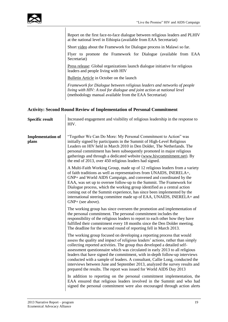

Report on the first face-to-face dialogue between religious leaders and PLHIV at the national level in Ethiopia (available from EAA Secretariat)

Short [video](http://frameworkfordialogue.net/malawi/) about the Framework for Dialogue process in Malawi so far.

Flyer to promote the Framework for Dialogue (available from EAA Secretariat)

[Press release:](http://www.e-alliance.ch/en/s/news/single/article/2013/08/22/press-release-global-organizations-launch-dialogue-initiative-for-religious-leaders-and-people-livi/) Global organizations launch dialogue initiative for religious leaders and people living with HIV

[Bulletin Article](http://www.e-alliance.ch/en/s/news/bulletins/single-view-bulletin/article/2013/10/08/live-the-promise-bulletin-october-2013/) in October on the launch

*Framework for Dialogue between religious leaders and networks of people living with HIV: A tool for dialogue and joint action at national level*  (methodology manual available from the EAA Secretariat)

### **Activity: Second Round Review of Implementation of Personal Commitment**

| <b>Specific result</b>            | Increased engagement and visibility of religious leadership in the response to<br>HIV.                                                                                                                                                                                                                                                                                                                                                                                                                                                                                                                                                      |
|-----------------------------------|---------------------------------------------------------------------------------------------------------------------------------------------------------------------------------------------------------------------------------------------------------------------------------------------------------------------------------------------------------------------------------------------------------------------------------------------------------------------------------------------------------------------------------------------------------------------------------------------------------------------------------------------|
| <b>Implementation of</b><br>plans | "Together We Can Do More: My Personal Commitment to Action" was<br>initially signed by participants in the Summit of High-Level Religious<br>Leaders on HIV held in March 2010 in Den Dolder, The Netherlands. The<br>personal commitment has been subsequently promoted in major religious<br>gatherings and through a dedicated website (www.hivcommitment.net). By<br>the end of 2013, over 450 religious leaders had signed.                                                                                                                                                                                                            |
|                                   | A Multi-Faith Working Group, made up of 12 religious leaders from a variety<br>of faith traditions as well as representatives from UNAIDS, INERELA+,<br>GNP+ and World AIDS Campaign, and convened and coordinated by the<br>EAA, was set up to oversee follow-up to the Summit. The Framework for<br>Dialogue process, which the working group identified as a central action<br>coming out of the Summit experience, has since been implemented by the<br>international steering committee made up of EAA, UNAIDS, INERELA+ and<br>GNP+ (see above).                                                                                      |
|                                   | The working group has since overseen the promotion and implementation of<br>the personal commitment. The personal commitment includes the<br>responsibility of the religious leaders to report to each other how they have<br>fulfilled their commitment every 18 months since the Den Dolder meeting.<br>The deadline for the second round of reporting fell in March 2013.                                                                                                                                                                                                                                                                |
|                                   | The working group focused on developing a reporting process that would<br>assess the quality and impact of religious leaders' actions, rather than simply<br>collecting reported activities. The group thus developed a detailed self-<br>assessment questionnaire which was circulated in early 2013 to all religious<br>leaders that have signed the commitment, with in-depth follow-up interviews<br>conducted with a sample of leaders. A consultant, Callie Long, conducted the<br>interviews between June and September 2013, analyzed the survey results and<br>prepared the results. The report was issued for World AIDS Day 2013 |
|                                   | In addition to reporting on the personal commitment implementation, the<br>EAA ensured that religious leaders involved in the Summit and who had<br>signed the personal commitment were also encouraged through action alerts                                                                                                                                                                                                                                                                                                                                                                                                               |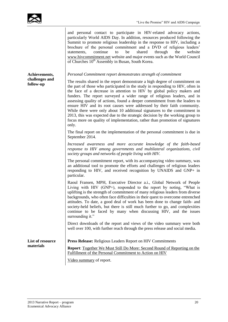and personal contact to participate in HIV-related advocacy actions, particularly World AIDS Day. In addition, resources produced following the Summit to promote religious leadership in the response to HIV, including a brochure of the personal commitment and a DVD of religious leaders' statements, continue to be shared through the website [www.hivcommitment.net](http://www.hivcommitment.net/) website and major events such as the World Council of Churches  $10^{th}$  Assembly in Busan, South Korea.

**Achievements, challenges and follow-up**

*Personal Commitment report demonstrates strength of commitment*

The results shared in the report demonstrate a high degree of commitment on the part of those who participated in the study in responding to HIV, often in the face of a decrease in attention to HIV by global policy makers and funders. The report surveyed a wider range of religious leaders, and in assessing quality of actions, found a deeper commitment from the leaders to ensure HIV and its root causes were addressed by their faith community. While there were only about 10 additional signatures to the commitment in 2013, this was expected due to the strategic decision by the working group to focus more on quality of implementation, rather than promotion of signatures only.

The final report on the implementation of the personal commitment is due in September 2014.

*Increased awareness and more accurate knowledge of the faith-based response to HIV among governments and multilateral organizations, civil society groups and networks of people living with HIV.* 

The personal commitment report, with its accompanying video summary, was an additional tool to promote the efforts and challenges of religious leaders responding to HIV, and received recognition by UNAIDS and GNP+ in particular.

Raoul Fransen, MPH, Executive Director a.i., Global Network of People Living with HIV (GNP+), responded to the report by noting, "What is uplifting is the strength of commitment of many religious leaders from diverse backgrounds, who often face difficulties in their quest to overcome entrenched attitudes. To date, a good deal of work has been done to change faith- and society-held beliefs, but there is still much further to go, and complexities continue to be faced by many when discussing HIV, and the issues surrounding it."

Direct downloads of the report and views of the video summary were both well over 100, with further reach through the press release and social media.

**List of resource materials Press Release:** [Religious Leaders Report on HIV Commitments](http://www.e-alliance.ch/en/s/news/single/article/2013/11/29/press-release-religious-leaders-report-on-hiv-commitments/) **Report**: [Together We Must Still Do More: Second Round of Reporting on the](http://www.e-alliance.ch/typo3conf/ext/naw_securedl/secure.php?u=0&file=fileadmin/user_upload/docs/All_HIV/2013/PersonalCommitmentReport_Final2.pdf&t=1385822971&hash=475c65d0b244c38d2e3d9b3458bec15e)  [Fulfillment of the Personal Commitment to Action on HIV](http://www.e-alliance.ch/typo3conf/ext/naw_securedl/secure.php?u=0&file=fileadmin/user_upload/docs/All_HIV/2013/PersonalCommitmentReport_Final2.pdf&t=1385822971&hash=475c65d0b244c38d2e3d9b3458bec15e) [Video summary](https://www.youtube.com/watch?v=3ac-w11fa6M&list=UUcvXOLR0jOIVFHf2WKfCMKA) of report.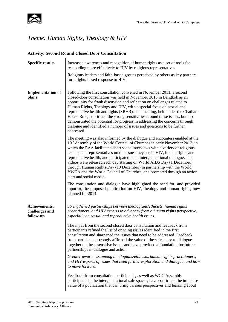

### *Theme: Human Rights, Theology & HIV*

### **Activity: Second Round Closed Door Consultation**

| <b>Specific results</b>                      | Increased awareness and recognition of human rights as a set of tools for<br>responding more effectively to HIV by religious representatives.                                                                                                                                                                                                                                                                                                                                                                                                                                                                                                                            |
|----------------------------------------------|--------------------------------------------------------------------------------------------------------------------------------------------------------------------------------------------------------------------------------------------------------------------------------------------------------------------------------------------------------------------------------------------------------------------------------------------------------------------------------------------------------------------------------------------------------------------------------------------------------------------------------------------------------------------------|
|                                              | Religious leaders and faith-based groups perceived by others as key partners<br>for a rights-based response to HIV.                                                                                                                                                                                                                                                                                                                                                                                                                                                                                                                                                      |
| <b>Implementation of</b><br>plans            | Following the first consultation convened in November 2011, a second<br>closed-door consultation was held in November 2013 in Bangkok as an<br>opportunity for frank discussion and reflection on challenges related to<br>Human Rights, Theology and HIV, with a special focus on sexual and<br>reproductive health and rights (SRHR). The meeting, held under the Chatham<br>House Rule, confirmed the strong sensitivities around these issues, but also<br>demonstrated the potential for progress in addressing the concerns through<br>dialogue and identified a number of issues and questions to be further<br>addressed.                                        |
|                                              | The meeting was also informed by the dialogue and encounters enabled at the<br>10 <sup>th</sup> Assembly of the World Council of Churches in early November 2013, in<br>which the EAA facilitated short video interviews with a variety of religious<br>leaders and representatives on the issues they see in HIV, human rights and<br>reproductive health, and participated in an intergenerational dialogue. The<br>videos were released each day starting on World AIDS Day (1 December)<br>through Human Rights Day (10 December) in partnership with the World<br>YWCA and the World Council of Churches, and promoted through an action<br>alert and social media. |
|                                              | The consultation and dialogue have highlighted the need for, and provided<br>input to, the proposed publication on HIV, theology and human rights, now<br>planned for 2014.                                                                                                                                                                                                                                                                                                                                                                                                                                                                                              |
| Achievements,<br>challenges and<br>follow-up | Strengthened partnerships between theologians/ethicists, human rights<br>practitioners, and HIV experts in advocacy from a human rights perspective,<br>especially on sexual and reproductive health issues.                                                                                                                                                                                                                                                                                                                                                                                                                                                             |
|                                              | The input from the second closed door consultation and feedback from<br>participants refined the list of ongoing issues identified in the first<br>consultation and sharpened the issues that need to be addressed. Feedback<br>from participants strongly affirmed the value of the safe space to dialogue<br>together on these sensitive issues and have provided a foundation for future<br>partnerships in dialogue and action.                                                                                                                                                                                                                                      |
|                                              | Greater awareness among theologians/ethicists, human rights practitioners,<br>and HIV experts of issues that need further exploration and dialogue, and how<br>to move forward.                                                                                                                                                                                                                                                                                                                                                                                                                                                                                          |
|                                              | Feedback from consultation participants, as well as WCC Assembly<br>participants in the intergenerational safe spaces, have confirmed the immense<br>value of a publication that can bring various perspectives and learning about                                                                                                                                                                                                                                                                                                                                                                                                                                       |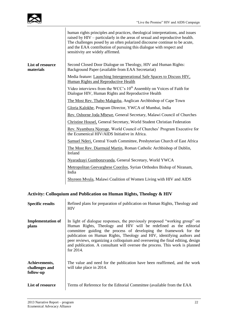|                               | human rights principles and practices, theological interpretations, and issues<br>raised by HIV – particularly in the areas of sexual and reproductive health.<br>The challenges posed by an often polarized discourse continue to be acute,<br>and the EAA contribution of pursuing this dialogue with respect and<br>sensitivity are widely affirmed. |
|-------------------------------|---------------------------------------------------------------------------------------------------------------------------------------------------------------------------------------------------------------------------------------------------------------------------------------------------------------------------------------------------------|
| List of resource<br>materials | Second Closed Door Dialogue on Theology, HIV and Human Rights:<br>Background Paper (available from EAA Secretariat)                                                                                                                                                                                                                                     |
|                               | Media feature: Launching Intergenerational Safe Spaces to Discuss HIV,<br>Human Rights and Reproductive Health                                                                                                                                                                                                                                          |
|                               | Video interviews from the WCC's 10 <sup>th</sup> Assembly on Voices of Faith for<br>Dialogue HIV, Human Rights and Reproductive Health                                                                                                                                                                                                                  |
|                               | The Most Rev. Thabo Makgoba, Anglican Archbishop of Cape Town                                                                                                                                                                                                                                                                                           |
|                               | Gloria Kalokhe, Program Director, YWCA of Mumbai, India                                                                                                                                                                                                                                                                                                 |
|                               | Rev. Osborne Joda Mbewe, General Secretary, Malawi Council of Churches                                                                                                                                                                                                                                                                                  |
|                               | Christine Housel, General Secretary, World Student Christian Federation                                                                                                                                                                                                                                                                                 |
|                               | Rev. Nyambura Njoroge, World Council of Churches' Program Executive for<br>the Ecumenical HIV/AIDS Initiative in Africa.                                                                                                                                                                                                                                |
|                               | Samuel Nderi, Central Youth Committee, Presbyterian Church of East Africa                                                                                                                                                                                                                                                                               |
|                               | The Most Rev. Diarmuid Martin, Roman Catholic Archbishop of Dublin,<br>Ireland                                                                                                                                                                                                                                                                          |
|                               | Nyaradzayi Gumbonzvanda, General Secretary, World YWCA                                                                                                                                                                                                                                                                                                  |
|                               | Metropolitan Geevarghese Coorilos, Syrian Orthodox Bishop of Niranam,<br>India                                                                                                                                                                                                                                                                          |
|                               | Shyreen Myula, Malawi Coalition of Women Living with HIV and AIDS                                                                                                                                                                                                                                                                                       |
|                               |                                                                                                                                                                                                                                                                                                                                                         |

### **Activity: Colloquium and Publication on Human Rights, Theology & HIV**

| <b>Specific results</b>                      | Refined plans for preparation of publication on Human Rights, Theology and<br><b>HIV</b>                                                                                                                                                                                                                                                                                                                                                                                      |
|----------------------------------------------|-------------------------------------------------------------------------------------------------------------------------------------------------------------------------------------------------------------------------------------------------------------------------------------------------------------------------------------------------------------------------------------------------------------------------------------------------------------------------------|
| <b>Implementation of</b><br>plans            | In light of dialogue responses, the previously proposed "working group" on<br>Human Rights, Theology and HIV will be redefined as the editorial<br>committee guiding the process of developing the framework for the<br>publication on Human Rights, Theology and HIV, identifying authors and<br>peer reviews, organizing a colloquium and overseeing the final editing, design<br>and publication. A consultant will oversee the process. This work is planned<br>for 2014. |
| Achievements,<br>challenges and<br>follow-up | The value and need for the publication have been reaffirmed, and the work<br>will take place in 2014.                                                                                                                                                                                                                                                                                                                                                                         |
| List of resource                             | Terms of Reference for the Editorial Committee (available from the EAA                                                                                                                                                                                                                                                                                                                                                                                                        |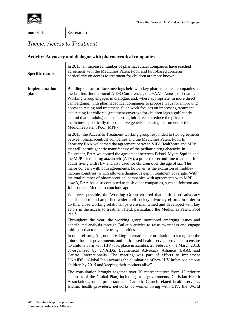

**materials** Secretariat)

### *Theme: Access to Treatment*

### **Activity: Advocacy and dialogue with pharmaceutical companies**

| <b>Specific results</b>           | In 2013, an increased number of pharmaceutical companies have reached<br>agreement with the Medicines Patent Pool, and faith-based concerns<br>particularly on access to treatment for children are more known.                                                                                                                                                                                                                                                                                                                                                                                                                                                                                                                                                                                                                                                                                         |
|-----------------------------------|---------------------------------------------------------------------------------------------------------------------------------------------------------------------------------------------------------------------------------------------------------------------------------------------------------------------------------------------------------------------------------------------------------------------------------------------------------------------------------------------------------------------------------------------------------------------------------------------------------------------------------------------------------------------------------------------------------------------------------------------------------------------------------------------------------------------------------------------------------------------------------------------------------|
| <b>Implementation of</b><br>plans | Building on face-to-face meetings held with key pharmaceutical companies at<br>the last four International AIDS Conferences, the EAA's Access to Treatment<br>Working Group engages in dialogue, and, where appropriate, in more direct<br>campaigning, with pharmaceutical companies to propose ways for improving<br>access to testing and treatment. Such work focuses on improving treatment<br>and testing for children (treatment coverage for children lags significantly<br>behind that of adults) and supporting initiatives to reduce the prices of<br>medicines, specifically the collective generic licensing instrument of the<br>Medicines Patent Pool (MPP).                                                                                                                                                                                                                             |
|                                   | In 2013, the Access to Treatment working group responded to two agreements<br>between pharmaceutical companies and the Medicines Patent Pool. In<br>February EAA welcomed the agreement between ViiV Healthcare and MPP<br>that will permit generic manufacture of the pediatric drug abacavir. In<br>December, EAA welcomed the agreement between Bristol-Myers Squibb and<br>the MPP for the drug atazanavir (ATV), a preferred second-line treatment for<br>adults living with HIV and also used for children over the age of six. The<br>major concern with both agreements, however, is the exclusion of middle-<br>income countries, which allows a dangerous gap in treatment coverage. With<br>the total number of pharmaceutical companies with agreements with MPP<br>now 3, EAA has also continued to push other companies, such as Johnson and<br>Johnson and Merck, to conclude agreements |
|                                   | Wherever possible, the Working Group ensured that faith-based advocacy<br>contributed to and amplified wider civil society advocacy efforts. In order to<br>do this, close working relationships were maintained and developed with key<br>actors in the access to treatment field, particularly the Medicines Patent Pool<br>itself.                                                                                                                                                                                                                                                                                                                                                                                                                                                                                                                                                                   |
|                                   | Throughout the year, the working group monitored emerging issues and<br>contributed analysis through Bulletin articles to raise awareness and engage<br>faith-based actors in advocacy activities.                                                                                                                                                                                                                                                                                                                                                                                                                                                                                                                                                                                                                                                                                                      |
|                                   | In other efforts, A groundbreaking international consultation to strengthen the<br>joint efforts of governments and faith-based health service providers to ensure<br>no child is born with HIV took place in Zambia, 28 February - 1 March 2013,<br>co-organized by UNAIDS, Ecumenical Advocacy Alliance (EAA), and<br>Caritas Internationalis. The meeting was part of efforts to implement<br>UNAIDS' "Global Plan towards the elimination of new HIV infections among<br>children by 2015 and keeping their mothers alive".                                                                                                                                                                                                                                                                                                                                                                         |
|                                   | The consultation brought together over 70 representatives from 12 priority<br>countries of the Global Plan, including from governments, Christian Health<br>Associations, other protestant and Catholic Church-related health services,<br>Islamic health providers, networks of women living with HIV, the World                                                                                                                                                                                                                                                                                                                                                                                                                                                                                                                                                                                       |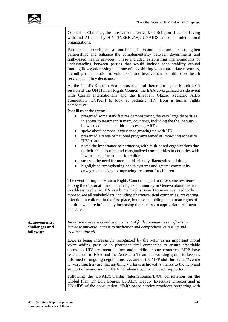

Council of Churches, the International Network of Religious Leaders Living with and Affected by HIV (INERELA+), UNAIDS and other international organizations.

Participants developed a number of recommendations to strengthen partnerships and enhance the complementarity between governments and faith-based health services. These included establishing memorandums of understanding between parties that would include accountability around funding flows; addressing the issue of task shifting with appropriate resources, including remuneration of volunteers; and involvement of faith-based health services in policy decisions.

As the Child's Right to Health was a central theme during the March 2013 session of the UN Human Rights Council, the EAA co-organized a side event with Caritas Internationalis and the Elizabeth Glazier Pediatric AIDS Foundation (EGPAF) to look at pediatric HIV from a human rights perspective.

Panellists at the event:

- presented some stark figures demonstrating the very large disparities in access to treatment in many countries, including the the inequity between adults and children accessing ART /
- spoke about personal experience growing up with HIV.
- presented a range of national programs aimed at improving access to HIV treatment.
- noted the importance of partnering with faith-based organizations due to their reach to rural and marginalized communities in countries with lowest rates of treatment for children.
- stressed the need for more child-friendly diagnostics and drugs.
- highlighted strengthening health systems and greater community engagement as key to improving treatment for children.

The event during the Human Rights Council helped to raise some awareness among the diplomatic and human rights community in Geneva about the need to address paediatric HIV as a human rights issue. However, we need to do more to see all stakeholders, including pharmaceutical companies, preventing infection in children in the first place, but also upholding the human rights of children who are infected by increasing their access to appropriate treatment and care

*Increased awareness and engagement of faith communities in efforts to increase universal access to medicines and comprehensive testing and treatment for all.*

EAA is being increasingly recognized by the MPP as an important moral voice adding pressure to pharmaceutical companies to ensure affordable access to HIV treatment in low and middle-income countries. MPP have reached out to EAA and the Access to Treatment working group to keep us informed of ongoing negotiations. As one of the MPP staff has said, "We are … very much aware that anything we have achieved is thanks to the help and support of many, and the EAA has always been such a key supporter."

Following the UNAIDS/Caritas Internationalis/EAA consultation on the Global Plan, Dr Luiz Loures, UNAIDS Deputy Executive Director said at UNAIDS of the consultation, "Faith-based service providers partnering with

**Achievements, challenges and follow-up**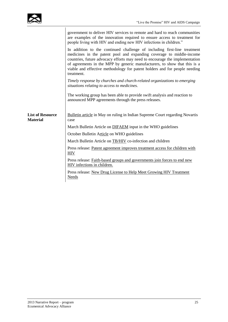

|                                            | government to deliver HIV services to remote and hard to reach communities<br>are examples of the innovation required to ensure access to treatment for<br>people living with HIV and ending new HIV infections in children."                                                                                                                                                                            |
|--------------------------------------------|----------------------------------------------------------------------------------------------------------------------------------------------------------------------------------------------------------------------------------------------------------------------------------------------------------------------------------------------------------------------------------------------------------|
|                                            | In addition to the continued challenge of including first-line treatment<br>medicines in the patent pool and expanding coverage to middle-income<br>countries, future advocacy efforts may need to encourage the implementation<br>of agreements in the MPP by generic manufacturers, to show that this is a<br>viable and effective methodology for patent holders and for people needing<br>treatment. |
|                                            | Timely response by churches and church-related organizations to emerging<br>situations relating to access to medicines.                                                                                                                                                                                                                                                                                  |
|                                            | The working group has been able to provide swift analysis and reaction to<br>announced MPP agreements through the press releases.                                                                                                                                                                                                                                                                        |
| <b>List of Resource</b><br><b>Material</b> | <b>Bulletin article in May on ruling in Indian Supreme Court regarding Novartis</b><br>case                                                                                                                                                                                                                                                                                                              |
|                                            | March Bulletin Article on <b>DIFAEM</b> input in the WHO guidelines                                                                                                                                                                                                                                                                                                                                      |
|                                            | October Bulletin Article on WHO guidelines                                                                                                                                                                                                                                                                                                                                                               |
|                                            | March Bulletin Article on <b>TB/HIV</b> co-infection and children                                                                                                                                                                                                                                                                                                                                        |
|                                            | Press release: Patent agreement improves treatment access for children with<br><b>HIV</b>                                                                                                                                                                                                                                                                                                                |
|                                            | Press release: Faith-based groups and governments join forces to end new<br>HIV infections in children.                                                                                                                                                                                                                                                                                                  |
|                                            | Press release: New Drug License to Help Meet Growing HIV Treatment<br>Needs                                                                                                                                                                                                                                                                                                                              |
|                                            |                                                                                                                                                                                                                                                                                                                                                                                                          |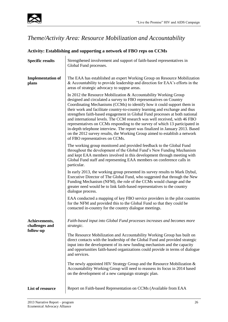

### *Theme/Activity Area: Resource Mobilization and Accountability*

| <b>Activity: Establishing and supporting a network of FBO reps on CCMs</b> |                                                                                                                                                                                                                                                                                                                                                                                                                                                                                                                                                                                                                                                                                                                                                |  |
|----------------------------------------------------------------------------|------------------------------------------------------------------------------------------------------------------------------------------------------------------------------------------------------------------------------------------------------------------------------------------------------------------------------------------------------------------------------------------------------------------------------------------------------------------------------------------------------------------------------------------------------------------------------------------------------------------------------------------------------------------------------------------------------------------------------------------------|--|
| <b>Specific results</b>                                                    | Strengthened involvement and support of faith-based representatives in<br>Global Fund processes.                                                                                                                                                                                                                                                                                                                                                                                                                                                                                                                                                                                                                                               |  |
| <b>Implementation of</b><br>plans                                          | The EAA has established an expert Working Group on Resource Mobilization<br>& Accountability to provide leadership and direction for EAA's efforts in the<br>areas of strategic advocacy to suppse areas.                                                                                                                                                                                                                                                                                                                                                                                                                                                                                                                                      |  |
|                                                                            | In 2012 the Resource Mobilization & Accountability Working Group<br>designed and circulated a survey to FBO representatives on Country<br>Coordinating Mechanisms (CCMs) to identify how it could support them in<br>their work and facilitate country-to-country learning and exchange and thus<br>strengthen faith-based engagement in Global Fund processes at both national<br>and international levels. The CCM research was well received, with 46 FBO<br>representatives on CCMs responding to the survey of which 13 participated in<br>in-depth telephone interview. The report was finalized in January 2013. Based<br>on the 2012 survey results, the Working Group aimed to establish a network<br>of FBO representatives on CCMs. |  |
|                                                                            | The working group monitored and provided feedback to the Global Fund<br>throughout the development of the Global Fund's New Funding Mechanism<br>and kept EAA members involved in this development through meeting with<br>Global Fund staff and representing EAA members on conference calls in<br>particular.                                                                                                                                                                                                                                                                                                                                                                                                                                |  |
|                                                                            | In early 2013, the working group presented its survey results to Mark Dybul,<br>Executive Director of The Global Fund, who suggested that through the New<br>Funding Mechanism (NFM), the role of the CCMs would change and the<br>greater need would be to link faith-based representatives to the country<br>dialogue process.                                                                                                                                                                                                                                                                                                                                                                                                               |  |
|                                                                            | EAA conducted a mapping of key FBO service providers in the pilot countries<br>for the NFM and provided this to the Global Fund so that they could be<br>contacted in-country for the country dialogue meetings.                                                                                                                                                                                                                                                                                                                                                                                                                                                                                                                               |  |
| Achievements,<br>challenges and<br>follow-up                               | Faith-based input into Global Fund processes increases and becomes more<br>strategic.                                                                                                                                                                                                                                                                                                                                                                                                                                                                                                                                                                                                                                                          |  |
|                                                                            | The Resource Mobilization and Accountability Working Group has built on<br>direct contacts with the leadership of the Global Fund and provided strategic<br>input into the development of its new funding mechanism and the capacity<br>and opportunities faith-based organizations could provide in terms of dialogue<br>and services.                                                                                                                                                                                                                                                                                                                                                                                                        |  |
|                                                                            | The newly appointed HIV Strategy Group and the Resource Mobilization &<br>Accountability Working Group will need to reassess its focus in 2014 based<br>on the development of a new campaign strategic plan.                                                                                                                                                                                                                                                                                                                                                                                                                                                                                                                                   |  |
| List of resource                                                           | Report on Faith-based Representation on CCMs (Available from EAA                                                                                                                                                                                                                                                                                                                                                                                                                                                                                                                                                                                                                                                                               |  |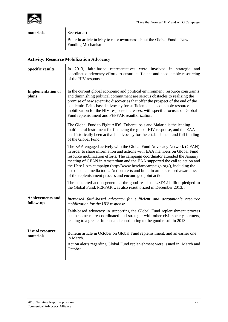

### **materials** Secretariat [Bulletin article](http://www.e-alliance.ch/typo3conf/ext/naw_securedl/secure.php?u=0&file=fileadmin/user_upload/docs/Bulletins/2013/HIV/WIP3_EAA_HIV-AIDS_May2013.pdf&t=1392818678&hash=d79be006e170e67e55f7299b1c03ff4b) in May to raise awareness about the Global Fund's New Funding Mechanism **Activity: Resource Mobilization Advocacy Specific results** In 2013, faith-based representatives were involved in strategic and coordinated advocacy efforts to ensure sufficient and accountable resourcing of the HIV response. **Implementation of plans** In the current global economic and political environment, resource constraints and diminishing political commitment are serious obstacles to realizing the promise of new scientific discoveries that offer the prospect of the end of the pandemic. Faith-based advocacy for sufficient and accountable resource mobilization for the HIV response increases, with specific focuses on Global Fund replenishment and PEPFAR reauthorization. The Global Fund to Fight AIDS, Tuberculosis and Malaria is the leading multilateral instrument for financing the global HIV response, and the EAA has historically been active in advocacy for the establishment and full funding of the Global Fund. The EAA engaged actively with the Global Fund Advocacy Network (GFAN) in order to share information and actions with EAA members on Global Fund resource mobilization efforts. The campaign coordinator attended the January meeting of GFAN in Amsterdam and the EAA supported the call to action and the Here I Am campaign [\(http://www.hereiamcampaign.org/\)](http://www.hereiamcampaign.org/), including the use of social media tools. Action alerts and bulletin articles raised awareness of the replenishment process and encouraged joint action. The concerted action generated the good result of USD12 billion pledged to the Global Fund. PEPFAR was also reauthorized in December 2013. . **Achievements and follow-up** *Increased faith-based advocacy for sufficient and accountable resource mobilization for the HIV response* Faith-based advocacy in supporting the Global Fund replenishment process has become more coordinated and strategic with other civil society partners, leading to a greater impact and contributing to the good result in 2013. **List of resource EXECUTER BULLET ARTICLE IN OCTOBER 1918 IN THE UP IN THE UP IN THE UP IN THE UP IN THE UP IN THE UP IN THE UP IN THE UP IN THE UP IN THE UP IN THE UP IN THE UP IN THE UP IN THE UP IN THE UP IN THE UP IN THE UP IN THE UP I** in March. Action alerts regarding Global Fund replenishment were issued in [March](http://www.e-alliance.ch/en/s/news/action-alerts/single-view-action/article/2013/04/08/action-alert-act-today-three-simple-actions-to-ask-world-leaders-to-stop-aids-tb-and-malaria/) and [October](http://www.e-alliance.ch/en/s/news/action-alerts/single-view-action/article/2013/10/23/action-alert-sign-a-call-to-action-for-fully-funded-global-fund/)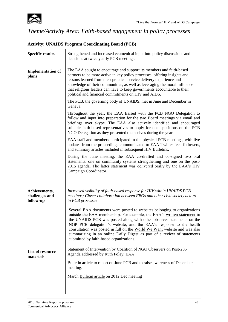

### *Theme/Activity Area: Faith-based engagement in policy processes*

### **Activity: UNAIDS Program Coordinating Board (PCB)**

| <b>Specific results</b>                      | Strengthened and increased ecumenical input into policy discussions and<br>decisions at twice yearly PCB meetings.                                                                                                                                                                                                                                                                                                                                                                                    |
|----------------------------------------------|-------------------------------------------------------------------------------------------------------------------------------------------------------------------------------------------------------------------------------------------------------------------------------------------------------------------------------------------------------------------------------------------------------------------------------------------------------------------------------------------------------|
| <b>Implementation of</b><br>plans            | The EAA sought to encourage and support its members and faith-based<br>partners to be more active in key policy processes, offering insights and<br>lessons learned from their practical service delivery experience and<br>knowledge of their communities, as well as leveraging the moral influence<br>that religious leaders can have to keep governments accountable to their<br>political and financial commitments on HIV and AIDS.                                                             |
|                                              | The PCB, the governing body of UNAIDS, met in June and December in<br>Geneva.                                                                                                                                                                                                                                                                                                                                                                                                                         |
|                                              | Throughout the year, the EAA liaised with the PCB NGO Delegation to<br>follow and input into preparation for the two Board meetings via email and<br>briefings over skype. The EAA also actively identified and encouraged<br>suitable faith-based representatives to apply for open positions on the PCB<br>NGO Delegation as they presented themselves during the year.                                                                                                                             |
|                                              | EAA staff and members participated in the physical PCB meetings, with live<br>updates from the proceedings communicated to EAA Twitter feed followers,<br>and summary articles included in subsequent HIV Bulletins.                                                                                                                                                                                                                                                                                  |
|                                              | During the June meeting, the EAA co-drafted and co-signed two oral<br>statements, one on community systems strengthening and one on the post-<br>2015 agenda. The latter statement was delivered orally by the EAA's HIV<br>Campaign Coordinator.                                                                                                                                                                                                                                                     |
| Achievements,<br>challenges and<br>follow-up | Increased visibility of faith-based response for HIV within UNAIDS PCB<br>meetings; Closer collaboration between FBOs and other civil society actors<br>in PCB processes                                                                                                                                                                                                                                                                                                                              |
|                                              | Several EAA documents were posted to websites belonging to organizations<br>outside the EAA membership. For example, the EAA's written statement to<br>the UNAIDS PCB was posted along with other observer statements on the<br>NGP PCB delegation's website; and the EAA's response to the health<br>consultation was posted in full on the World We Want website and was also<br>summarizing in an online Daily Digest as part of a review of statements<br>submitted by faith-based organizations. |
| List of resource<br>materials                | Statement of Intervention by Coalition of NGO Observers on Post-205<br>Agenda addressed by Ruth Foley, EAA                                                                                                                                                                                                                                                                                                                                                                                            |
|                                              | Bulletin article to report on June PCB and to raise awareness of December<br>meeting.                                                                                                                                                                                                                                                                                                                                                                                                                 |
|                                              | March Bulletin article on 2012 Dec meeting                                                                                                                                                                                                                                                                                                                                                                                                                                                            |
|                                              |                                                                                                                                                                                                                                                                                                                                                                                                                                                                                                       |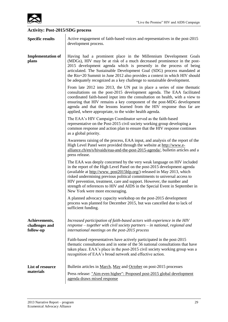

## **Activity: Post-2015/SDG process**

| <b>Specific results</b>                      | Active engagement of faith-based voices and representatives in the post-2015<br>development process.                                                                                                                                                                                                                                                                                                                                                                                                |
|----------------------------------------------|-----------------------------------------------------------------------------------------------------------------------------------------------------------------------------------------------------------------------------------------------------------------------------------------------------------------------------------------------------------------------------------------------------------------------------------------------------------------------------------------------------|
| <b>Implementation of</b><br>plans            | Having had a prominent place in the Millennium Development Goals<br>(MDGs), HIV may be at risk of a much decreased prominence in the post-<br>2015 development agenda which is presently in the process of being<br>articulated. The Sustainable Development Goal (SDG) process mandated at<br>the Rio+20 Summit in June 2012 also provides a context in which HIV should<br>be adequately recognized as a key challenge to sustainable development.                                                |
|                                              | From late 2012 into 2013, the UN put in place a series of nine thematic<br>consultations on the post-2015 development agenda. The EAA facilitated<br>coordinated faith-based input into the consultation on health, with a view to<br>ensuring that HIV remains a key component of the post-MDG development<br>agenda and that the lessons learned from the HIV response thus far are<br>applied, where appropriate, to the wider health agenda.                                                    |
|                                              | The EAA's HIV Campaign Coordinator served as the faith-based<br>representative on the Post-2015 civil society working group developing a<br>common response and action plan to ensure that the HIV response continues<br>as a global priority.                                                                                                                                                                                                                                                      |
|                                              | Awareness raising of the process, EAA input, and analysis of the report of the<br>High Level Panel were provided through the website at http://www.e-<br>alliance.ch/en/s/hivaids/eaa-and-the-post-2015-agenda/, bulletin articles and a<br>press release.                                                                                                                                                                                                                                          |
|                                              | The EAA was deeply concerned by the very weak language on HIV included<br>in the report of the High Level Panel on the post-2015 development agenda<br>(available at http://www.post2015hlp.org/) released in May 2013, which<br>risked undermining previous political commitments to universal access to<br>HIV prevention, treatment, care and support. However, the number and<br>strength of references to HIV and AIDS in the Special Event in September in<br>New York were more encouraging. |
|                                              | A planned advocacy capacity workshop on the post-2015 development<br>process was planned for December 2015, but was cancelled due to lack of<br>sufficient funding.                                                                                                                                                                                                                                                                                                                                 |
| Achievements,<br>challenges and<br>follow-up | Increased participation of faith-based actors with experience in the HIV<br>$response - together$ with civil society partners $-$ in national, regional and<br>international meetings on the post-2015 process                                                                                                                                                                                                                                                                                      |
|                                              | Faith-based representatives have actively participated in the post-2015<br>thematic consultations and in some of the 56 national consultations that have<br>taken place. EAA's place in the post-2015 civil society working group was a<br>recognition of EAA's broad network and effective action.                                                                                                                                                                                                 |
| List of resource                             | Bulletin articles in <u>March</u> , May and October on post-2015 processes                                                                                                                                                                                                                                                                                                                                                                                                                          |
| materials                                    | Press release: "Aim even higher": Proposed post-2015 global development<br>agenda draws mixed response                                                                                                                                                                                                                                                                                                                                                                                              |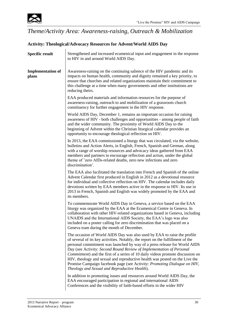

### *Theme/Activity Area: Awareness-raising, Outreach & Mobilization*

### **Activity: Theological/Advocacy Resources for Advent/World AIDS Day**

| <b>Specific result</b>            | Strengthened and increased ecumenical input and engagement in the response<br>to HIV in and around World AIDS Day.                                                                                                                                                                                                                                                                                                                                                                                                                                                                                                     |
|-----------------------------------|------------------------------------------------------------------------------------------------------------------------------------------------------------------------------------------------------------------------------------------------------------------------------------------------------------------------------------------------------------------------------------------------------------------------------------------------------------------------------------------------------------------------------------------------------------------------------------------------------------------------|
| <b>Implementation of</b><br>plans | Awareness-raising on the continuing salience of the HIV pandemic and its<br>impacts on human health, community and dignity remained a key priority, to<br>ensure that churches and related organizations maintain their commitment to<br>this challenge at a time when many governments and other institutions are<br>reducing theirs.                                                                                                                                                                                                                                                                                 |
|                                   | EAA produced materials and information resources for the purpose of<br>awareness-raising, outreach to and mobilization of a grassroots church<br>constituency for further engagement in the HIV response.                                                                                                                                                                                                                                                                                                                                                                                                              |
|                                   | World AIDS Day, December 1, remains an important occasion for raising<br>awareness of HIV - both challenges and opportunities - among people of faith<br>and the wider community. The proximity of World AIDS Day to the<br>beginning of Advent within the Christian liturgical calendar provides an<br>opportunity to encourage theological reflection on HIV.                                                                                                                                                                                                                                                        |
|                                   | In 2013, the EAA commissioned a liturgy that was circulated, via the website,<br>bulletins and Action Alerts, in English, French, Spanish and German, along<br>with a range of worship resources and advocacy ideas gathered from EAA<br>members and partners to encourage reflection and action, under the global<br>theme of 'zero AIDs-related deaths, zero new infections and zero<br>discrimination'.                                                                                                                                                                                                             |
|                                   | The EAA also facilitated the translation into French and Spanish of the online<br>Advent Calendar first produced in English in 2012 as a devotional resource<br>for individual and collective reflection on HIV. The calendar includes daily<br>devotions written by EAA members active in the response to HIV. Its use in<br>2013 in French, Spanish and English was widely promoted by the EAA and<br>its members.                                                                                                                                                                                                   |
|                                   | To commemorate World AIDS Day in Geneva, a service based on the EAA<br>liturgy was organized by the EAA at the Ecumenical Centre in Geneva. In<br>collaboration with other HIV-related organizations based in Geneva, including<br>UNAIDS and the International AIDS Society, the EAA's logo was also<br>included on a poster calling for zero discrimination that was placed on a<br>Geneva tram during the month of December.                                                                                                                                                                                        |
|                                   | The occasion of World AIDS Day was also used by EAA to raise the profile<br>of several of its key activities. Notably, the report on the fulfillment of the<br>personal commitment was launched by way of a press release for World AIDS<br>Day (see Activity: Second Round Review of Implementation of Personal<br><i>Commitment</i> ) and the first of a series of 10 daily videos promote discussion on<br>HIV, theology and sexual and reproductive health was posted on the Live the<br>Promise Campaign facebook page (see Activity: Promoting Dialogue on HIV,<br>Theology and Sexual and Reproductive Health). |
|                                   | In addition to promoting issues and resources around World AIDS Day, the<br>EAA encouraged participation in regional and international AIDS<br>Conferences and the visibility of faith-based efforts in the wider HIV                                                                                                                                                                                                                                                                                                                                                                                                  |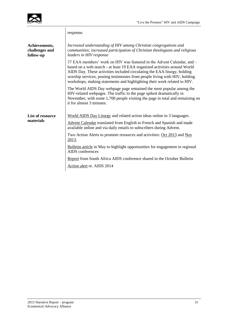

 $\overline{\phantom{a}}$ 

|                                              | response.                                                                                                                                                                                                                                                                                                                                                                                 |
|----------------------------------------------|-------------------------------------------------------------------------------------------------------------------------------------------------------------------------------------------------------------------------------------------------------------------------------------------------------------------------------------------------------------------------------------------|
| Achievements,<br>challenges and<br>follow-up | Increased understanding of HIV among Christian congregations and<br>communities; increased participation of Christian theologians and religious<br>leaders in HIV response                                                                                                                                                                                                                |
|                                              | 37 EAA members' work on HIV was featured in the Advent Calendar, and –<br>based on a web search - at least 19 EAA organized activities around World<br>AIDS Day. These activities included circulating the EAA liturgy, holding<br>worship services, posting testimonies from people living with HIV, holding<br>workshops, making statements and highlighting their work related to HIV. |
|                                              | The World AIDS Day webpage page remained the most popular among the<br>HIV-related webpages. The traffic to the page spiked dramatically in<br>November, with some 1,700 people visiting the page in total and remaining on<br>it for almost 3 minutes.                                                                                                                                   |
| List of resource<br>materials                | World AIDS Day Liturgy and related action ideas online in 3 languages.                                                                                                                                                                                                                                                                                                                    |
|                                              | Advent Calendar translated from English to French and Spanish and made<br>available online and via daily emails to subscribers during Advent.                                                                                                                                                                                                                                             |
|                                              | Two Action Alerts to promote resources and activities: Oct 2013 and Nov<br>2013.                                                                                                                                                                                                                                                                                                          |
|                                              | Bulletin article in May to highlight opportunities for engagement in regional<br>AIDS conferences                                                                                                                                                                                                                                                                                         |
|                                              | Report from South Africa AIDS conference shared in the October Bulletin                                                                                                                                                                                                                                                                                                                   |
|                                              | Action alert re. AIDS 2014                                                                                                                                                                                                                                                                                                                                                                |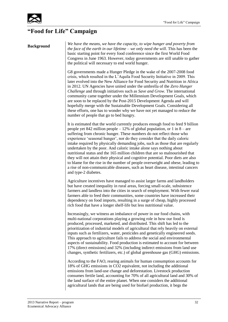

### **"Food for Life" Campaign**

**Background** *We have the means, we have the capacity, to wipe hunger and poverty from* **Background** *the face of the earth in our lifetime – we only need the will*. This has been the basic starting point for every food conference since the first World Food Congress in June 1963. However, today governments are still unable to gather the political will necessary to end world hunger.

> G8 governments made a Hunger Pledge in the wake of the 2007-2008 food crisis, which resulted in the L'Aquila Food Security Initiative in 2009. This later evolved into the New Alliance for Food Security and Nutrition in Africa in 2012. UN Agencies have united under the umbrella of the *Zero Hunger Challenge* and through initiatives such as *Save and Grow*. The international community came together under the Millennium Development Goals, which are soon to be replaced by the Post-2015 Development Agenda and will hopefully merge with the Sustainable Development Goals. Considering all these efforts, one has to wonder why we have not yet managed to reduce the number of people that go to bed hungry.

> It is estimated that the world currently produces enough food to feed 9 billion people yet 842 million people  $-12\%$  of global population, or 1 in 8 – are suffering from chronic hunger. These numbers do not reflect those who experience 'seasonal hunger', nor do they consider that the daily caloric intake required by physically demanding jobs, such as those that are regularly undertaken by the poor. And caloric intake alone says nothing about nutritional status and the 165 million children that are so malnourished that they will not attain their physical and cognitive potential. Poor diets are also to blame for the rise in the number of people overweight and obese, leading to a rise of non-communicable diseases, such as heart disease, intestinal cancers and type-2 diabetes.

> Agriculture incentives have managed to assist larger farms and landholders but have created inequality in rural areas, forcing small-scale, subsistence farmers and landless into the cities in search of employment. With fewer rural farmers able to feed their communities, some countries have increased their dependency on food imports, resulting in a surge of cheap, highly processed rich food that have a longer shelf-life but less nutritional value.

> Increasingly, we witness an imbalance of power in our food chains, with multi-national corporations playing a growing role in how our food is produced, processed, marketed, and distributed. This shift has led to the prioritization of industrial models of agricultural that rely heavily on external inputs such as fertilizers, water, pesticides and genetically engineered seeds. This approach to agriculture fails to address the social and environmental aspects of sustainability. Food production is estimated to account for between 17% (direct emissions) and 32% (including indirect emissions from land use changes, synthetic fertilizers, etc.) of global greenhouse gas (GHG) emissions.

According to the FAO, rearing animals for human consumption accounts for 18% of GHG emissions in CO2 equivalent, not including the additional emissions from land-use change and deforestation. Livestock production consumes fertile land, accounting for 70% of all agricultural land and 30% of the land surface of the entire planet. When one considers the additional agricultural lands that are being used for biofuel production, it begs the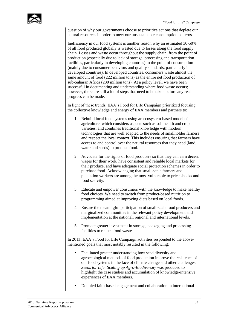question of why our governments choose to prioritize actions that deplete our natural resources in order to meet our unsustainable consumption patterns.

Inefficiency in our food systems is another reason why an estimated 30-50% of all food produced globally is wasted due to losses along the food supply chain. Losses and waste occur throughout the supply chain, from the point of production (especially due to lack of storage, processing and transportation facilities, particularly in developing countries) to the point of consumption (mainly due to consumer behaviors and quality standards, particularly in developed countries). In developed countries, consumers waste almost the same amount of food (222 million tons) as the entire net food production of sub-Saharan Africa (230 million tons). At a policy level, we have been successful in documenting and understanding where food waste occurs; however, there are still a lot of steps that need to be taken before any real progress can be made.

In light of these trends, EAA's Food for Life Campaign prioritized focusing the collective knowledge and energy of EAA members and partners to:

- 1. Rebuild local food systems using an ecosystem-based model of agriculture, which considers aspects such as soil health and crop varieties, and combines traditional knowledge with modern technologies that are well adapted to the needs of smallholder farmers and respect the local context. This includes ensuring that farmers have access to and control over the natural resources that they need (land, water and seeds) to produce food.
- 2. Advocate for the rights of food producers so that they can earn decent wages for their work, have consistent and reliable local markets for their produce, and have adequate social protection schemes in order to purchase food. Acknowledging that small-scale farmers and plantation workers are among the most vulnerable to price shocks and food scarcity.
- 3. Educate and empower consumers with the knowledge to make healthy food choices. We need to switch from product-based nutrition to programming aimed at improving diets based on local foods.
- 4. Ensure the meaningful participation of small-scale food producers and marginalized communities in the relevant policy development and implementation at the national, regional and international levels.
- 5. Promote greater investment in storage, packaging and processing facilities to reduce food waste.

In 2013, EAA's Food for Life Campaign activities responded to the abovementioned goals that most notably resulted in the following:

- Facilitated greater understanding how seed diversity and agroecological methods of food production improve the resilience of our food systems in the face of climate change and other challenges. *Seeds for Life: Scaling up Agro-Biodiversity* was produced to highlight the case studies and accumulation of knowledge-intensive experiences of EAA members.
- Doubled faith-based engagement and collaboration in international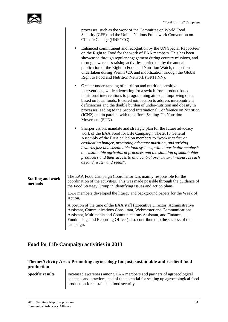| processes, such as the work of the Committee on World Food<br>Security (CFS) and the United Nations Framework Convention on<br>Climate Change (UNFCCC).                                                                                                                                                                                                                                                                                                                                                                       |
|-------------------------------------------------------------------------------------------------------------------------------------------------------------------------------------------------------------------------------------------------------------------------------------------------------------------------------------------------------------------------------------------------------------------------------------------------------------------------------------------------------------------------------|
| Enhanced commitment and recognition by the UN Special Rapporteur<br>٠<br>on the Right to Food for the work of EAA members. This has been<br>showcased through regular engagement during country missions, and<br>through awareness raising activities carried out by the annual<br>publication of the Right to Food and Nutrition Watch, the actions<br>undertaken during Vienna+20, and mobilization through the Global<br>Right to Food and Nutrition Network (GRTFNN).                                                     |
| Greater understanding of nutrition and nutrition sensitive<br>٠<br>interventions, while advocating for a switch from product-based<br>nutritional interventions to programming aimed at improving diets<br>based on local foods. Ensured joint action to address micronutrient<br>deficiencies and the double burden of under-nutrition and obesity in<br>processes leading to the Second International Conference on Nutrition<br>(ICN2) and in parallel with the efforts Scaling-Up Nutrition<br>Movement (SUN).            |
| Sharper vision, mandate and strategic plan for the future advocacy<br>٠<br>work of the EAA Food for Life Campaign. The 2013 General<br>Assembly of the EAA called on members to "work together on<br>eradicating hunger, promoting adequate nutrition, and striving<br>towards just and sustainable food systems, with a particular emphasis<br>on sustainable agricultural practices and the situation of smallholder<br>producers and their access to and control over natural resources such<br>as land, water and seeds". |
| The EAA Food Campaign Coordinator was mainly responsible for the<br>coordination of the activities. This was made possible through the guidance of<br>the Food Strategy Group in identifying issues and action plans.                                                                                                                                                                                                                                                                                                         |
| EAA members developed the liturgy and background papers for the Week of<br>Action.                                                                                                                                                                                                                                                                                                                                                                                                                                            |
| A portion of the time of the EAA staff (Executive Director, Administrative<br>Assistant, Communications Consultant, Webmaster and Communications<br>Assistant, Multimedia and Communications Assistant, and Finance,<br>Fundraising, and Reporting Officer) also contributed to the success of the<br>campaign.                                                                                                                                                                                                               |
|                                                                                                                                                                                                                                                                                                                                                                                                                                                                                                                               |

### **Food for Life Campaign activities in 2013**

### **Theme/Activity Area: Promoting agroecology for just, sustainable and resilient food production**

**Specific results** Increased awareness among EAA members and partners of agroecological concepts and practices, and of the potential for scaling up agroecological food production for sustainable food security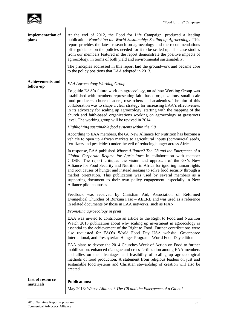| <b>Implementation of</b><br>plans    | At the end of 2012, the Food for Life Campaign, produced a leading<br>publication: <i>Nourishing the World Sustainably: Scaling up Agroecology</i> . This<br>report provides the latest research on agroecology and the recommendations<br>offer guidance on the policies needed for it to be scaled up. The case studies<br>from our members featured in the report demonstrate the positive impacts of<br>agroecology, in terms of both yield and environmental sustainability.                                                                                        |
|--------------------------------------|--------------------------------------------------------------------------------------------------------------------------------------------------------------------------------------------------------------------------------------------------------------------------------------------------------------------------------------------------------------------------------------------------------------------------------------------------------------------------------------------------------------------------------------------------------------------------|
|                                      | The principles addressed in this report laid the groundwork and became core<br>to the policy positions that EAA adopted in 2013.                                                                                                                                                                                                                                                                                                                                                                                                                                         |
| <b>Achievements and</b><br>follow-up | <b>EAA Agroecology Working Group</b>                                                                                                                                                                                                                                                                                                                                                                                                                                                                                                                                     |
|                                      | To guide EAA's future work on agroecology, an ad hoc Working Group was<br>established with members representing faith-based organizations, small-scale<br>food producers, church leaders, researchers and academics. The aim of this<br>collaboration was to shape a clear strategy for increasing EAA's effectiveness<br>in its advocacy for scaling up agroecology, starting with the mapping of the<br>church and faith-based organizations working on agroecology at grassroots<br>level. The working group will be revived in 2014.                                 |
|                                      | Highlighting sustainable food systems within the G8                                                                                                                                                                                                                                                                                                                                                                                                                                                                                                                      |
|                                      | According to EAA members, the G8 New Alliance for Nutrition has become a<br>vehicle to open up African markets to agricultural inputs (commercial seeds,<br>fertilizers and pesticides) under the veil of reducing hunger across Africa.                                                                                                                                                                                                                                                                                                                                 |
|                                      | In response, EAA published Whose Alliance? The G8 and the Emergence of a<br>Global Corporate Regime for Agriculture in collaboration with member<br>CIDSE. The report critiques the vision and approach of the G8's New<br>Alliance for Food Security and Nutrition in Africa for ignoring human rights<br>and root causes of hunger and instead seeking to solve food security through a<br>market orientation. This publication was used by several members as a<br>supporting document to their own policy engagement, especially in New<br>Alliance pilot countries. |
|                                      | Feedback was received by Christian Aid, Association of Reformed<br>Evangelical Churches of Burkina Faso - AEERB and was used as a reference<br>in related documents by those in EAA networks, such as FIAN.                                                                                                                                                                                                                                                                                                                                                              |
|                                      | Promoting agroecology in print                                                                                                                                                                                                                                                                                                                                                                                                                                                                                                                                           |
|                                      | EAA was invited to contribute an article to the Right to Food and Nutrition<br>Watch 2013 publication about why scaling up investment in agroecology is<br>essential to the achievement of the Right to Food. Further contributions were<br>also requested for FAO's World Food Day USA website, Greenpeace<br>International, and Presbyterian Hunger Program - World Food Day edition.                                                                                                                                                                                  |
|                                      | EAA plans to devote the 2014 Churches Week of Action on Food to further<br>mobilization, enhanced dialogue and cross-fertilization among EAA members<br>and allies on the advantages and feasibility of scaling up agroecological<br>methods of food production. A statement from religious leaders on just and<br>sustainable food systems and Christian stewardship of creation will also be<br>created.                                                                                                                                                               |
| List of resource                     | <b>Publications:</b>                                                                                                                                                                                                                                                                                                                                                                                                                                                                                                                                                     |
| materials                            | May 2013: Whose Alliance? The G8 and the Emergence of a Global                                                                                                                                                                                                                                                                                                                                                                                                                                                                                                           |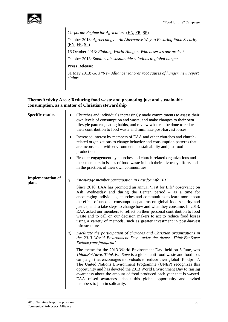

*Corporate Regime for Agriculture* [\(EN,](http://www.e-alliance.ch/typo3conf/ext/naw_securedl/secure.php?u=0&file=fileadmin/user_upload/docs/All_Food/CIDSE/Whose_Alliance_The_G8___the_Emergence_of_a_Global_Corporate_Regime_for_Agriculture_May_2013.pdf&t=1394723712&hash=eaf5da0c1451d827f7b01e61977c81b1) [FR,](http://www.e-alliance.ch/typo3conf/ext/naw_securedl/secure.php?u=0&file=fileadmin/user_upload/docs/All_Food/CIDSE/A_qui_profite_lAlliance_-_recommandations_de_la_CIDSE_et_de_lEAA_-_mai_2013.pdf&t=1394723712&hash=70b3ca0bb2dd425cd97a3f9cb5239fd5) [SP\)](http://www.e-alliance.ch/typo3conf/ext/naw_securedl/secure.php?u=0&file=fileadmin/user_upload/docs/All_Food/CIDSE/Alianza_de_quiyn_recomendaciones_de_CIDSE_y_EAA_mayo_2013.pdf&t=1394723712&hash=51628fbbefc21425214b992bd6aae19d)

October 2013: *Agroecology – An Alternative Way to Ensuring Food Security*  [\(EN,](http://www.rtfn-watch.org/fileadmin/media/rtfn-watch.org/ENGLISH/pdf/Watch_2013/Watch_2013_PDFs/Separate_article_ENG/Watch2013_EN_Chapter3_Resistance_AlternativeVisions.pdf) [FR,](http://www.rtfn-watch.org/fileadmin/media/rtfn-watch.org/ENGLISH/pdf/Watch_2013/Watch_2013_PDFs/Separate_article_FR/Observatoire2013_FR_Chapter3_Re%CC%81sistances_VisionsAlternatives.pdf) [SP\)](http://www.rtfn-watch.org/fileadmin/media/rtfn-watch.org/ENGLISH/pdf/Watch_2013/Watch_2013_PDFs/Separate_article_SPA/Observatorio2013_SP_Capi%CC%81tulo3_Resistencias_VisionesAlternativas.pdf)

16 October 2013: *[Fighting World Hunger: Who deserves our praise?](http://www.greenpeace.org/international/en/news/Blogs/makingwaves/fighting-world-hunger-who-deserves-our-praise/blog/46999/)*

October 2013: *[Small-scale sustainable solutions to global hunger](http://www.pcusa.org/media/uploads/hunger/pdf/september_post_2013.pdf)*

**Press Release:**

31 May 2013: *[G8's "New Alliance" ignores root causes of hunger, new report](http://www.e-alliance.ch/en/s/news/press-releases/single-view-press-release/article/2013/05/31/g8s-new-alliance-ignores-root-causes-of-hunger-new-report-claims/)  [claims](http://www.e-alliance.ch/en/s/news/press-releases/single-view-press-release/article/2013/05/31/g8s-new-alliance-ignores-root-causes-of-hunger-new-report-claims/)*

### **Theme/Activity Area: Reducing food waste and promoting just and sustainable consumption, as a matter of Christian stewardship**

| <b>Specific results</b>           | $\bullet$ | Churches and individuals increasingly made commitments to assess their<br>own levels of consumption and waste, and make changes to their own<br>lifestyle patterns, eating habits, and review what can be done to reduce<br>their contribution to food waste and minimize post-harvest losses                                                                                                                                                                                                                                                                                                                      |
|-----------------------------------|-----------|--------------------------------------------------------------------------------------------------------------------------------------------------------------------------------------------------------------------------------------------------------------------------------------------------------------------------------------------------------------------------------------------------------------------------------------------------------------------------------------------------------------------------------------------------------------------------------------------------------------------|
|                                   | $\bullet$ | Increased interest by members of EAA and other churches and church-<br>related organizations to change behavior and consumption patterns that<br>are inconsistent with environmental sustainability and just food<br>production                                                                                                                                                                                                                                                                                                                                                                                    |
|                                   |           | Broader engagement by churches and church-related organizations and<br>their members in issues of food waste in both their advocacy efforts and<br>in the practices of their own communities                                                                                                                                                                                                                                                                                                                                                                                                                       |
| <b>Implementation of</b><br>plans | i)        | Encourage member participation in Fast for Life 2013                                                                                                                                                                                                                                                                                                                                                                                                                                                                                                                                                               |
|                                   |           | Since 2010, EAA has promoted an annual 'Fast for Life' observance on<br>Ash Wednesday and during the Lenten period - as a time for<br>encouraging individuals, churches and communities to learn more about<br>the effect of unequal consumption patterns on global food security and<br>justice, and to take steps to change how and what they consume. In 2013,<br>EAA asked our members to reflect on their personal contribution to food<br>waste and to call on our decision makers to act to reduce food losses<br>using a variety of methods, such as greater investment in post-harvest<br>infrastructure. |
|                                   | ii)       | Facilitate the participation of churches and Christian organizations in<br>the 2013 World Environment Day, under the theme 'Think.Eat.Save;<br>Reduce your foodprint'                                                                                                                                                                                                                                                                                                                                                                                                                                              |
|                                   |           | The theme for the 2013 World Environment Day, held on 5 June, was<br>Think.Eat.Save. Think.Eat.Save is a global anti-food waste and food loss<br>campaign that encourages individuals to reduce their global 'foodprint'.<br>The United Nations Environment Programme (UNEP) recognizes this<br>opportunity and has devoted the 2013 World Environment Day to raising<br>awareness about the amount of food produced each year that is wasted.<br>EAA raised awareness about this global opportunity and invited<br>members to join in solidarity.                                                                 |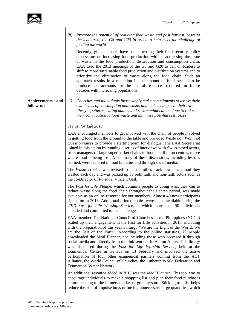

|                               | Promote the potential of reducing food waste and post-harvest losses to<br><i>iii</i> )<br>the leaders of the G8 and G20 in order to help meet the challenge of<br>feeding the world                                                                                                                                                                                                                                                                                                                                                                                                                                                 |
|-------------------------------|--------------------------------------------------------------------------------------------------------------------------------------------------------------------------------------------------------------------------------------------------------------------------------------------------------------------------------------------------------------------------------------------------------------------------------------------------------------------------------------------------------------------------------------------------------------------------------------------------------------------------------------|
|                               | Recently, global leaders have been focusing their food security policy<br>discussions on increasing food production without addressing the issue<br>of waste in the food production, distribution and consumption chain.<br>EAA used the 2013 meetings of the G8 and G20 to call on leaders to<br>shift to more sustainable food production and distribution systems and to<br>prioritize the elimination of waste along the food chain. Such an<br>approach results in a reduction in the amount of food needed to be<br>produce and accounts for the natural resources required for future<br>decades with increasing populations. |
| Achievements and<br>follow-up | Churches and individuals increasingly make commitments to assess their<br>i)<br>own levels of consumption and waste, and make changes to their own<br>lifestyle patterns, eating habits, and review what can be done to reduce<br>their contribution to food waste and minimize post-harvest losses                                                                                                                                                                                                                                                                                                                                  |
|                               | a) Fast for Life $2013$                                                                                                                                                                                                                                                                                                                                                                                                                                                                                                                                                                                                              |
|                               | EAA encouraged members to get involved with the chain of people involved<br>in getting food from the ground to the table and provided Waste not, Want not<br>Questionnaires to provide a starting point for dialogue. The EAA Secretariat<br>joined in this action by running a series of interviews with Swiss-based actors,<br>from managers of large supermarket chains to food distribution centres, to see<br>where food is being lost. A summary of these discussions, including lessons<br>learned, were featured in food bulletins and through social media.                                                                 |
|                               | The Waste Tracker was revised to help families track how much food they<br>wasted each day and was picked up by both faith and non-faith actors such as<br>the co-Director of <i>Partage</i> , Vincent Gall.                                                                                                                                                                                                                                                                                                                                                                                                                         |
|                               | The Fast for Life Pledge, which commits people to doing what they can to<br>reduce waste along the food chain throughout the Lenten period, was made<br>available as an online resource for our members. Almost 40 new participants<br>signed on in 2013. Additional printed copies were made available during the<br>2013 Fast for Life Worship Service, in which more than 50 individuals<br>attended and committed to the challenge.                                                                                                                                                                                              |
|                               | EAA member The National Council of Churches in the Philippines (NCCP)<br>scaled up their engagement in the Fast for Life activities in 2013, including<br>with the preparation of this year's liturgy 'We are the Light of the World; We<br>are the Salt of the Earth'. According to the online statistics, 72 people<br>downloaded the Meal Planner, not including those who accessed it through<br>social media and directly from the link sent out in Action Alerts. This liturgy<br>was also used during the Fast for Life Worship Service, held at the<br>Ecumenical Centre in Geneva on 13 February and involved the active    |
|                               | participation of four other ecumenical partners coming from the ACT<br>Alliance, the World Council of Churches, the Lutheran World Federation and<br>Ecumenical Water Network.                                                                                                                                                                                                                                                                                                                                                                                                                                                       |
|                               | An additional resource added in 2013 was the <i>Meal Planner</i> . This tool was to<br>encourage individuals to make a shopping list and plan their food purchases<br>before heading to the farmers market or grocery store. Sticking to a list helps<br>reduce the risk of impulse buys or buying unnecessary large quantities, which                                                                                                                                                                                                                                                                                               |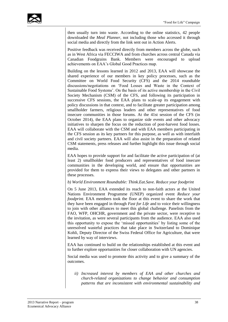

then usually turn into waste. According to the online statistics, 42 people downloaded the *Meal Planner*, not including those who accessed it through social media and directly from the link sent out in Action Alerts.

Positive feedback was received directly from members across the globe, such as in West Africa via FECCIWA and from churches across central Canada via Canadian Foodgrains Bank. Members were encouraged to upload achievements on EAA's Global Good Practices map.

Building on the lessons learned in 2012 and 2013, EAA will showcase the shared experience of our members in key policy processes, such as the Committee on World Food Security (CFS) and the 2014 roundtable discussions/negotiations on 'Food Losses and Waste in the Context of Sustainable Food Systems'. On the basis of its active membership in the Civil Society Mechanism (CSM) of the CFS, and following its participation in successive CFS sessions, the EAA plans to scale-up its engagement with policy discussions in that context, and to facilitate greater participation among smallholder farmers, religious leaders and other representatives of food insecure communities in those forums. At the 41st session of the CFS (in October 2014), the EAA plans to organize side events and other advocacy initiatives to sharpen the focus on the reduction of post-harvest food losses. EAA will collaborate with the CSM and with EAA members participating in the CFS session as its key partners for this purpose, as well as with interfaith and civil society partners. EAA will also assist in the preparation of related CSM statements, press releases and further highlight this issue through social media.

EAA hopes to provide support for and facilitate the active participation of (at least 2) smallholder food producers and representatives of food insecure communities in the developing world, and ensure that opportunities are provided for them to express their views to delegates and other partners in these processes.

### *b) World Environment Roundtable: Think.Eat.Save. Reduce your foodprint*

On 5 June 2013, EAA extended its reach to non-faith actors at the United Nations Environment Programme (UNEP) organized event *Reduce your foodprint.* EAA members took the floor at this event to share the work that they have been engaged in through *Fast for Life* and to voice their willingness to join with other alliances to meet this global challenge. Panelists from the FAO, WFP, OHCHR, government and the private sector, were receptive to the invitation, as were several participants from the audience. EAA also used this opportunity to expose the 'missed opportunities' by listing some of the unresolved wasteful practices that take place in Switzerland to Dominique Kohli, Deputy Director of the Swiss Federal Office for Agriculture, that were learned by way of interviews.

EAA has continued to build on the relationships established at this event and to further explore opportunities for closer collaboration with UN agencies.

Social media was used to promote this activity and to give a summary of the outcomes.

*ii) Increased interest by members of EAA and other churches and church-related organizations to change behavior and consumption patterns that are inconsistent with environmental sustainability and*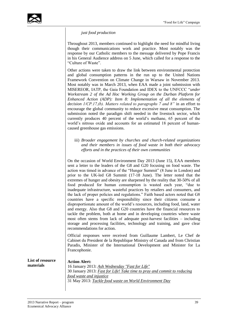

*just food production*

Throughout 2013, members continued to highlight the need for mindful living though their communications work and practice. Most notably was the response by our Catholic members to the message delivered by Pope Francis in his General Audience address on 5 June, which called for a response to the "Culture of Waste".

Other actions were taken to draw the link between environmental protection and global consumption patterns in the run up to the United Nations Framework Convention on Climate Change in Warsaw in November 2013. Most notably was in March 2013, when EAA made a joint submission with MISEREOR, IATP, the Gaia Foundation and IDEX to the UNFCCC "*under Workstream 2 of the Ad Hoc Working Group on the Durban Platform for Enhanced Action (ADP): Item 8: Implementation of all the elements of decision 1/CP.17,(b). Matters related to paragraphs 7 and 8"* in an effort to encourage the global community to reduce excessive meat consumption. The submission noted the paradigm shift needed in the livestock sector, which currently produces 40 percent of the world's methane, 65 percent of the world's nitrous oxide and accounts for an estimated 18 percent of humancaused greenhouse gas emissions.

iii) *Broader engagement by churches and church-related organizations and their members in issues of food waste in both their advocacy efforts and in the practices of their own communities* 

On the occasion of World Environment Day 2013 (June 15), EAA members sent a letter to the leaders of the G8 and G20 focusing on food waste. The action was timed in advance of the "Hunger Summit" (8 June in London) and prior to the UK-led G8 Summit (17-18 June). The letter noted that the extremes of hunger and obesity are sharpened by the reality that 30-50% of all food produced for human consumption is wasted each year, "due to inadequate infrastructure, wasteful practices by retailers and consumers, and the lack of proper policies and regulations." Faith based actors noted that G8 countries have a specific responsibility since their citizens consume a disproportionate amount of the world's resources, including food, land, water and energy. Also that G8 and G20 countries have the financial resources to tackle the problem, both at home and in developing countries where waste most often stems from lack of adequate post-harvest facilities – including storage and processing facilities, technology and training, and gave clear recommendations for action.

Official responses were received from Guillaume Lambert, Le Chef de Cabinet du President de la Republique Ministry of Canada and from Christian Paradis, Minister of the International Development and Minister for La Francophonie.

| <b>List of resource</b> | <b>Action Alert:</b>                                                     |
|-------------------------|--------------------------------------------------------------------------|
| materials               | 16 January 2013: Ash Wednesday "Fast for Life"                           |
|                         | 30 January 2013: Fast for Life! Take time to pray and commit to reducing |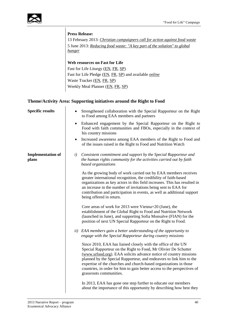

### **Press Release:**

13 February 2013: *[Christian campaigners call for action against food waste](http://www.e-alliance.ch/en/s/news/press-releases/single-view-press-release/article/2013/02/13/christian-campaigners-call-for-action-against-food-waste/)* 5 June 2013: *[Reducing food waste: "A key part of the solution" to global](http://www.e-alliance.ch/en/s/news/press-releases/single-view-press-release/article/2013/06/05/press-release-reducing-food-waste-a-key-part-of-the-solution-to-global-hunger/)  [hunger](http://www.e-alliance.ch/en/s/news/press-releases/single-view-press-release/article/2013/06/05/press-release-reducing-food-waste-a-key-part-of-the-solution-to-global-hunger/)*

### **[Web resources on Fast for Life](http://www.e-alliance.ch/en/s/food/sustainable-consumption/fast-for-life/)**

Fast for Life Liturgy [\(EN,](http://www.e-alliance.ch/typo3conf/ext/naw_securedl/secure.php?u=0&file=fileadmin/user_upload/docs/All_Food/Fastforlife/Fast_for_Life_Liturgy_EN.pdf&t=1394724780&hash=f9d87780b1c662bbbfb16b54da405138) [FR,](http://www.e-alliance.ch/typo3conf/ext/naw_securedl/secure.php?u=0&file=fileadmin/user_upload/docs/All_Food/Fastforlife/Fast_for_Life_Liturgy_FR.pdf&t=1394724780&hash=b653d78f720a108008f8561da22e4736) [SP\)](http://www.e-alliance.ch/typo3conf/ext/naw_securedl/secure.php?u=0&file=fileadmin/user_upload/docs/All_Food/Fastforlife/Ash_Wednesday_Liturgy__SP_.pdf&t=1394724780&hash=41c2ddd1f1ff4b9303be31696c430bef) Fast for Life Pledge [\(EN,](http://www.e-alliance.ch/typo3conf/ext/naw_securedl/secure.php?u=0&file=fileadmin/user_upload/docs/All_Food/Fastforlife/Lenten_Pledges_-_Group_Sign_EN.pdf&t=1394724780&hash=cbb9254fe87eaab029a020a593259ac6) [FR,](http://www.e-alliance.ch/typo3conf/ext/naw_securedl/secure.php?u=0&file=fileadmin/user_upload/docs/All_Food/Fastforlife/Lenten_Pledges_-_Group_Sign_FR.pdf&t=1394724780&hash=50283e2fb5d816205cc5fe1094364843) [SP\)](http://www.e-alliance.ch/typo3conf/ext/naw_securedl/secure.php?u=0&file=fileadmin/user_upload/docs/All_Food/Fastforlife/Lenten_Pledges_-_Group_Sign_SP.pdf&t=1394724780&hash=ecca460c3d8e0d92d7513ec6bae245a0) and available *[online](http://www.e-alliance.ch/en/s/food/sustainable-consumption/fast-for-life/)* Waste Tracker [\(EN,](http://www.e-alliance.ch/typo3conf/ext/naw_securedl/secure.php?u=0&file=fileadmin/user_upload/docs/All_Food/Fastforlife/EAA_WasteTracker2013_EN.pdf&t=1394724780&hash=6ddd6f6e07a7b259197f2bd4b2e8550c) [FR,](http://www.e-alliance.ch/typo3conf/ext/naw_securedl/secure.php?u=0&file=fileadmin/user_upload/docs/All_Food/Fastforlife/EAA_WasteTracker2013_FR.pdf&t=1394724780&hash=3d2543cd2556342099b119c956ce5d08) [SP\)](http://www.e-alliance.ch/typo3conf/ext/naw_securedl/secure.php?u=0&file=fileadmin/user_upload/docs/All_Food/Fastforlife/EAA_WasteTracker2013_SP.pdf&t=1394724780&hash=30e3bd749098a859d76d4b182506ac28) Weekly Meal Planner [\(EN,](http://www.e-alliance.ch/typo3conf/ext/naw_securedl/secure.php?u=0&file=fileadmin/user_upload/docs/All_Food/Fastforlife/Weekly_Meal_Planner_-_Fast_For_Life_2013_EN.pdf&t=1394724780&hash=bfce4cbb55189b0c094f57a6ad84170f) [FR,](http://www.e-alliance.ch/typo3conf/ext/naw_securedl/secure.php?u=0&file=fileadmin/user_upload/docs/All_Food/Fastforlife/Weekly_Meal_Planner_-_Fast_For_Life_2013_FR.pdf&t=1394724780&hash=ba4fa4cbf199b6f4248b0575db88cd8b) [SP\)](http://www.e-alliance.ch/typo3conf/ext/naw_securedl/secure.php?u=0&file=fileadmin/user_upload/docs/All_Food/Fastforlife/Weekly_Meal_Planner_-_Fast_For_Life_2013_SP.pdf&t=1394724780&hash=5c1f8dab98de765c20b7db5eae2979f3)

### **Theme/Activity Area: Supporting initiatives around the Right to Food**

| <b>Specific results</b>           |     | Strengthened collaboration with the Special Rapporteur on the Right<br>to Food among EAA members and partners                                                                                                                                                                                                                                                                                                                                            |
|-----------------------------------|-----|----------------------------------------------------------------------------------------------------------------------------------------------------------------------------------------------------------------------------------------------------------------------------------------------------------------------------------------------------------------------------------------------------------------------------------------------------------|
|                                   |     | Enhanced engagement by the Special Rapporteur on the Right to<br>Food with faith communities and FBOs, especially in the context of<br>his country missions                                                                                                                                                                                                                                                                                              |
|                                   |     | Increased awareness among EAA members of the Right to Food and<br>of the issues raised in the Right to Food and Nutrition Watch                                                                                                                                                                                                                                                                                                                          |
| <b>Implementation of</b><br>plans | i)  | Consistent commitment and support by the Special Rapporteur and<br>the human rights community for the activities carried out by faith<br>based organizations                                                                                                                                                                                                                                                                                             |
|                                   |     | As the growing body of work carried out by EAA members receives<br>greater international recognition, the credibility of faith-based<br>organizations as key actors in this field increases. This has resulted in<br>an increase in the number of invitations being sent to EAA for<br>contribution and participation in events, as well as additional support<br>being offered in return.                                                               |
|                                   |     | Core areas of work for 2013 were Vienna+20 (June), the<br>establishment of the Global Right to Food and Nutrition Network<br>(launched in June), and supporting Sofia Monsalve (FIAN) for the<br>position of next UN Special Rapporteur on the Right to Food.                                                                                                                                                                                            |
|                                   | ii) | EAA members gain a better understanding of the opportunity to<br>engage with the Special Rapporteur during country missions                                                                                                                                                                                                                                                                                                                              |
|                                   |     | Since 2010, EAA has liaised closely with the office of the UN<br>Special Rapporteur on the Right to Food, Mr Olivier De Schutter<br>(www.srfood.org). EAA solicits advance notice of country missions<br>planned by the Special Rapporteur, and endeavors to link him to the<br>expertise of the churches and church-based organizations in those<br>countries, in order for him to gain better access to the perspectives of<br>grassroots communities. |
|                                   |     | In 2013, EAA has gone one step further to educate our members<br>about the importance of this opportunity by describing how best they                                                                                                                                                                                                                                                                                                                    |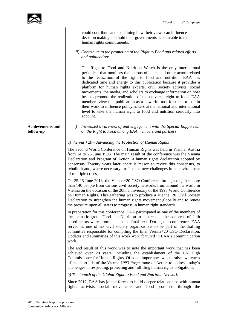could contribute and explaining how their views can influence decision making and hold their governments accountable to their human rights commitments.

#### *iii) Contribute to the promotion of the Right to Food and related efforts and publications*

The Right to Food and Nutrition Watch is the only international periodical that monitors the actions of states and other actors related to the realization of the right to food and nutrition. EAA has dedicated time and energy to this publication because it provides a platform for human rights experts, civil society activists, social movements, the media, and scholars to exchange information on how best to promote the realization of the universal right to food. EAA members view this publication as a powerful tool for them to use in their work to influence policymakers at the national and international level to take the human right to food and nutrition seriously into account.

### **Achievements and follow-up**

*i) Increased awareness of and engagement with the Special Rapporteur on the Right to Food among EAA members and partners*

### *a) Vienna +20 – Advancing the Protection of Human Rights*

The Second World Conference on Human Rights was held in Vienna, Austria from 14 to 25 June 1993. The main result of the conference was the Vienna Declaration and Program of Action, a human rights declaration adopted by consensus. Twenty years later, there is reason to revive this consensus, to rebuild it and, where necessary, to face the new challenges in an environment of multiple crises.

On 25-26 June 2013, the Vienna+20 CSO Conference brought together more than 140 people from various civil society networks from around the world in Vienna on the occasion of the 20th anniversary of the 1993 World Conference on Human Rights. This gathering was to produce a Vienna+20 Civil Society Declaration to strengthen the human rights movement globally and to renew the pressure upon all states to progress in human right standards.

In preparation for this conference, EAA participated as one of the members of the thematic group Food and Nutrition to ensure that the concerns of faith based actors were prominent in the final text. During the conference, EAA served as one of six civil society organizations to be part of the drafting committee responsible for compiling the final Vienna+20 CSO Declaration. Updates and summaries of this work were featured in EAA's communication work.

The end result of this work was to note the important work that has been achieved over 20 years, including the establishment of the UN High Commissioner for Human Rights. Of equal importance was to raise awareness of the shortfalls of the Vienna 1993 Programme of Action to address today's challenges in respecting, protecting and fulfilling human rights obligations.

*b) The launch of the Global Right to Food and Nutrition Network*

Since 2012, EAA has joined forces to build deeper relationships with human rights activists, social movements and food producers through the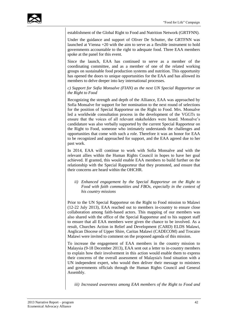

establishment of the Global Right to Food and Nutrition Network (GRTFNN).

Under the guidance and support of Oliver De Schutter, the GRTFNN was launched at Vienna +20 with the aim to serve as a flexible instrument to hold governments accountable to the right to adequate food. Three EAA members spoke at the panel for this event.

Since the launch, EAA has continued to serve as a member of the coordinating committee, and as a member of one of the related working groups on sustainable food production systems and nutrition. This opportunity has opened the doors to unique opportunities for the EAA and has allowed its members to delve deeper into key international processes.

*c) Support for Sofia Monsalve (FIAN) as the next UN Special Rapporteur on the Right to Food*

Recognizing the strength and depth of the Alliance, EAA was approached by Sofia Monsalve for support for her nomination to the next round of selections for the position of Special Rapporteur on the Right to Food. Mrs. Monsalve led a worldwide consultation process in the development of the VGGTs to ensure that the voices of all relevant stakeholders were heard. Monsalve's candidature was also verbally supported by the current Special Rapporteur on the Right to Food, someone who intimately understands the challenges and opportunities that come with such a role. Therefore it was an honor for EAA to be recognized and approached for support, and the EAA agreed due to her past work.

In 2014, EAA will continue to work with Sofia Monsalve and with the relevant allies within the Human Rights Council in hopes to have her goal achieved. If granted, this would enable EAA members to build further on the relationship with the Special Rapporteur that they promoted, and ensure that their concerns are heard within the OHCHR.

*ii) Enhanced engagement by the Special Rapporteur on the Right to Food with faith communities and FBOs, especially in the context of his country missions*

Prior to the UN Special Rapporteur on the Right to Food mission to Malawi (12-22 July 2013), EAA reached out to members in-country to ensure close collaboration among faith-based actors. This mapping of our members was also shared with the office of the Special Rapporteur and to his support staff to ensure that all EAA members were given the chance to be involved. As a result, Churches Action in Relief and Development (CARD) ELDS Malawi, Anglican Diocese of Upper Shire, Caritas Malawi (CADECOM) and Trocaire Malawi were invited to comment on the proposed agenda of this mission.

To increase the engagement of EAA members in the country mission to Malaysia (9-18 December 2013), EAA sent out a letter to in-country members to explain how their involvement in this action would enable them to express their concerns of the overall assessment of Malaysia's food situation with a UN independent expert, who would then deliver their message to ministers and governments officials through the Human Rights Council and General Assembly.

*iii) Increased awareness among EAA members of the Right to Food and*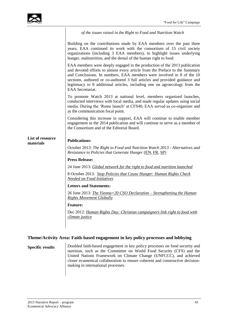|                               | of the issues raised in the Right to Food and Nutrition Watch                                                                                                                                                                                                                                                                                                                                                      |
|-------------------------------|--------------------------------------------------------------------------------------------------------------------------------------------------------------------------------------------------------------------------------------------------------------------------------------------------------------------------------------------------------------------------------------------------------------------|
|                               | Building on the contributions made by EAA members over the past three<br>years, EAA continued its work with the consortium of 15 civil society<br>organizations (including 3 EAA members), to highlight issues underlying<br>hunger, malnutrition, and the denial of the human right to food.                                                                                                                      |
|                               | EAA members were deeply engaged in the production of the 2013 publication<br>and devoted efforts to almost every article from the Preface to the Summary<br>and Conclusions. In numbers, EAA members were involved in 8 of the 10<br>sections, authored or co-authored 3 full articles and provided guidance and<br>legitimacy to 8 additional articles, including one on agroecology from the<br>EAA Secretariat. |
|                               | To promote Watch 2013 at national level, members organized launches,<br>conducted interviews with local media, and made regular updates using social<br>media. During the 'Rome launch' at CFS40, EAA served as co-organizer and<br>as the communication focal point.                                                                                                                                              |
|                               | Considering this increase in support, EAA will continue to enable member<br>engagement in the 2014 publication and will continue to serve as a member of<br>the Consortium and of the Editorial Board.                                                                                                                                                                                                             |
| List of resource<br>materials | <b>Publications:</b>                                                                                                                                                                                                                                                                                                                                                                                               |
|                               | October 2013: The Right to Food and Nutrition Watch 2013 - Alternatives and<br><i>Resistance to Policies that Generate Hunger (EN, FR, SP)</i>                                                                                                                                                                                                                                                                     |
|                               | <b>Press Release:</b>                                                                                                                                                                                                                                                                                                                                                                                              |
|                               | 24 June 2013: Global network for the right to food and nutrition launched                                                                                                                                                                                                                                                                                                                                          |
|                               | 8 October 2013: Stop Policies that Cause Hunger: Human Rights Check<br><b>Needed on Food Initiatives</b>                                                                                                                                                                                                                                                                                                           |
|                               | <b>Letters and Statements:</b>                                                                                                                                                                                                                                                                                                                                                                                     |
|                               | 26 June 2013: <i>The Vienna+20 CSO Declaration – Strengthening the Human</i><br><b>Rights Movement Globally</b>                                                                                                                                                                                                                                                                                                    |
|                               | <b>Feature:</b>                                                                                                                                                                                                                                                                                                                                                                                                    |
|                               | Dec 2012: Human Rights Day: Christian campaigners link right to food with<br>climate justice                                                                                                                                                                                                                                                                                                                       |
|                               |                                                                                                                                                                                                                                                                                                                                                                                                                    |

### **Theme/Activity Area: Faith-based engagement in key policy processes and lobbying**

**Specific results** Doubled faith-based engagement in key policy processes on food security and nutrition, such as the Committee on World Food Security (CFS) and the United Nations Framework on Climate Change (UNFCCC), and achieved closer ecumenical collaboration to ensure coherent and constructive decisionmaking in international processes.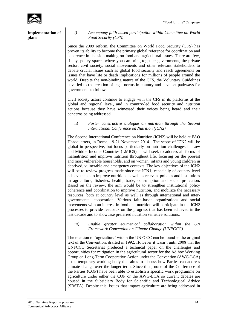

| <b>Implementation of</b><br>plans | i)                      |
|-----------------------------------|-------------------------|
|                                   | Since the               |
|                                   | proven its<br>coherence |

*i) Accompany faith-based participation within Committee on World Food Security (CFS)*

2009 reform, the Committee on World Food Security (CFS) has ability to become the primary global reference for coordination and in decision making on food and agricultural issues. There are few, if any, policy spaces where you can bring together governments, the private sector, civil society, social movements and other relevant stakeholders to debate crucial issues such as global food security and reach agreements on issues that have life or death implications for millions of people around the world. Despite the non-binding nature of the CFS, the Voluntary Guidelines have led to the creation of legal norms in country and have set pathways for governments to follow.

Civil society actors continue to engage with the CFS in its platforms at the global and regional level, and in country-led food security and nutrition actions because they have witnessed their voices being heard and their concerns being addressed.

### ii) *Foster constructive dialogue on nutrition through the Second International Conference on Nutrition (ICN2)*

The Second International Conference on Nutrition (ICN2) will be held at FAO Headquarters, in Rome, 19-21 November 2014. The scope of ICN2 will be global in perspective, but focus particularly on nutrition challenges in Low and Middle Income Countries (LMICS). It will seek to address all forms of malnutrition and improve nutrition throughout life, focusing on the poorest and most vulnerable households, and on women, infants and young children in deprived, vulnerable and emergency contexts. The key objectives of the ICN2 will be to review progress made since the ICN1, especially of country level achievements to improve nutrition, as well as relevant policies and institutions in agriculture, fisheries, health, trade, consumption and social protection. Based on the review, the aim would be to strengthen institutional policy coherence and coordination to improve nutrition, and mobilize the necessary resources, both at country level as well as through international and intergovernmental cooperation. Various faith-based organizations and social movements with an interest in food and nutrition will participate in the ICN2 processes to provide feedback on the progress that has been achieved in the last decade and to showcase preferred nutrition sensitive solutions.

### *iii) Enable greater ecumenical collaboration within the UN Framework Convention on Climate Change (UNFCCC)*

The mention of 'agriculture' within the UNFCCC can be found in the original text of the Convention, drafted in 1992. However it wasn't until 2008 that the UNFCCC Secretariat produced a technical paper on the challenges and opportunities for mitigation in the agricultural sector for the Ad hoc Working Group on Long-Term Cooperative Action under the Convention (AWG-LCA) – the temporary working body that aims to discuss how Parties can address climate change over the longer term. Since then, none of the Conference of the Parties (COP) have been able to establish a specific work programme on agriculture under either the COP or the AWG-LCA so current debates are housed in the Subsidiary Body for Scientific and Technological Advice (SBSTA). Despite this, issues that impact agriculture are being addressed in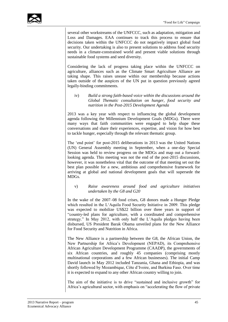

several other workstreams of the UNFCCC, such as adaptation, mitigation and Loss and Damages. EAA continues to track this process to ensure that decisions taken within the UNFCCC do not negatively impact global food security. Our undertaking is also to present solutions to address food security needs in a climate-constrained world and present viable solutions through sustainable food systems and seed diversity.

Considering the lack of progress taking place within the UNFCCC on agriculture, alliances such as the Climate Smart Agriculture Alliance are taking shape. This raises unease within our membership because actions taken outside of the auspices of the UN put in question previously agreed legally-binding commitments.

iv) *Build a strong faith-based voice within the discussions around the Global Thematic consultation on hunger, food security and nutrition in the Post-2015 Development Agenda*

2013 was a key year with respect to influencing the global development agenda following the Millennium Development Goals (MDGs). There were many ways that faith communities were engaged to help shape these conversations and share their experiences, expertise, and vision for how best to tackle hunger, especially through the relevant thematic group.

The 'end point' for post-2015 deliberations in 2013 was the United Nations (UN) General Assembly meeting in September, when a one-day Special Session was held to review progress on the MDGs and map out a forwardlooking agenda. This meeting was not the end of the post-2015 discussions, however, it was nonetheless vital that the outcome of that meeting set out the best plan possible for a new, ambitious and comprehensive framework for arriving at global and national development goals that will supersede the MDGs.

### v) *Raise awareness around food and agriculture initiatives undertaken by the G8 and G20*

In the wake of the 2007–08 food crises, G8 donors made a Hunger Pledge which resulted in the L'Aquila Food Security Initiative in 2009. This pledge was expected to mobilize US\$22 billion over three years in support of "country-led plans for agriculture, with a coordinated and comprehensive strategy." In May 2012, with only half the L'Aquila pledges having been disbursed, US President Barak Obama unveiled plans for the New Alliance for Food Security and Nutrition in Africa.

The New Alliance is a partnership between the G8, the African Union, the New Partnership for Africa's Development (NEPAD), its Comprehensive African Agriculture Development Programme (CAADP), the governments of six African countries, and roughly 45 companies (comprising mostly multinational corporations and a few African businesses). The initial Camp David launch in May 2012 included Tanzania, Ghana and Ethiopia, and was shortly followed by Mozambique, Côte d'Ivoire, and Burkina Faso. Over time it is expected to expand to any other African country willing to join.

The aim of the initiative is to drive "sustained and inclusive growth" for Africa's agricultural sector, with emphasis on "accelerating the flow of private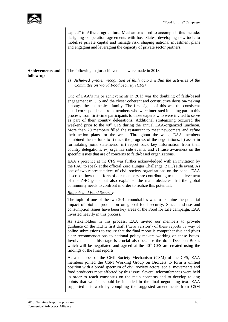|                                      | designing cooperation agreements with host States, developing new tools to<br>mobilize private capital and manage risk, shaping national investment plans<br>and engaging and leveraging the capacity of private sector partners.                                                                                                                                                                                                                                                                                                                                                                                                                                                                                                                                                                                                                                                                                                                                                                                                                     |
|--------------------------------------|-------------------------------------------------------------------------------------------------------------------------------------------------------------------------------------------------------------------------------------------------------------------------------------------------------------------------------------------------------------------------------------------------------------------------------------------------------------------------------------------------------------------------------------------------------------------------------------------------------------------------------------------------------------------------------------------------------------------------------------------------------------------------------------------------------------------------------------------------------------------------------------------------------------------------------------------------------------------------------------------------------------------------------------------------------|
| <b>Achievements and</b><br>follow-up | The following major achievements were made in 2013:<br>a) Achieved greater recognition of faith actors within the activities of the<br>Committee on World Food Security (CFS)                                                                                                                                                                                                                                                                                                                                                                                                                                                                                                                                                                                                                                                                                                                                                                                                                                                                         |
|                                      | One of EAA's major achievements in 2013 was the doubling of faith-based<br>engagement in CFS and the closer coherent and constructive decision-making<br>amongst the ecumenical family. The first signal of this was the consistent<br>email correspondence from members who were interested in taking part in this<br>process, from first-time participants to those experts who were invited to serve<br>as part of their country delegations. Additional strategizing occurred the<br>weekend prior to the 40 <sup>th</sup> CFS during the annual EAA-organized luncheon.<br>More than 20 members filled the restaurant to meet newcomers and refine<br>their action plans for the week. Throughout the week, EAA members<br>combined their efforts to i) track the progress of the negotiations, ii) assist in<br>formulating joint statements, iii) report back key information from their<br>country delegations, iv) organize side events, and v) raise awareness on the<br>specific issues that are of concerns to faith-based organizations. |
|                                      | EAA's presence at the CFS was further acknowledged with an invitation by<br>the FAO to speak at the official Zero Hunger Challenge (ZHC) side event. As<br>one of two representatives of civil society organizations on the panel, EAA<br>described how the efforts of our members are contributing to the achievement<br>of the ZHC goals but also explained the main obstacles that the global<br>community needs to confront in order to realize this potential.                                                                                                                                                                                                                                                                                                                                                                                                                                                                                                                                                                                   |
|                                      | <b>Biofuels and Food Security</b>                                                                                                                                                                                                                                                                                                                                                                                                                                                                                                                                                                                                                                                                                                                                                                                                                                                                                                                                                                                                                     |
|                                      | The topic of one of the two 2014 roundtables was to examine the potential<br>impact of biofuel production on global food security. Since land-use and<br>consumption issues have been key areas of the Food for Life campaign, EAA<br>invested heavily in this process.                                                                                                                                                                                                                                                                                                                                                                                                                                                                                                                                                                                                                                                                                                                                                                               |
|                                      | As stakeholders in this process, EAA invited our members to provide<br>guidance on the HLPE first draft ('zero version') of these reports by way of<br>online submissions to ensure that the final report is comprehensive and gives<br>clear recommendations to national policy makers working on these issues.<br>Involvement at this stage is crucial also because the draft Decision Boxes<br>which will be negotiated and agreed at the $40th CFS$ are created using the<br>findings of the final reports.                                                                                                                                                                                                                                                                                                                                                                                                                                                                                                                                       |
|                                      | As a member of the Civil Society Mechanism (CSM) of the CFS, EAA<br>members joined the CSM Working Group on Biofuels to form a unified<br>position with a broad spectrum of civil society actors, social movements and<br>food producers most affected by this issue. Several teleconferences were held<br>in order to reach consensus on the main concerns and to develop talking<br>points that we felt should be included in the final negotiating text. EAA<br>supported this work by compiling the suggested amendments from CSM                                                                                                                                                                                                                                                                                                                                                                                                                                                                                                                 |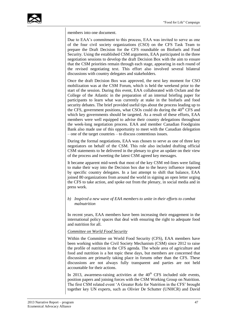

members into one document.

Due to EAA's commitment to this process, EAA was invited to serve as one of the four civil society organizations (CSO) on the CFS Task Team to prepare the Draft Decision for the CFS roundtable on Biofuels and Food Security. Using the established CSM arguments, EAA participated in the three negotiation sessions to develop the draft Decision Box with the aim to ensure that the CSM priorities remain through each stage, appearing in each round of the revised negotiating text. This effort also involved several bilateral discussions with country delegates and stakeholders.

Once the draft Decision Box was approved, the next key moment for CSO mobilization was at the CSM Forum, which is held the weekend prior to the start of the session. During this event, EAA collaborated with Oxfam and the College of the Atlantic in the preparation of an internal briefing paper for participants to learn what was currently at stake in the biofuels and food security debates. The brief provided useful tips about the process leading up to the CFS, government positions, what CSOs could do during the  $40<sup>th</sup>$  CFS and which key governments should be targeted. As a result of these efforts, EAA members were well equipped to advise their country delegations throughout the week-long negotiation process. EAA and member Canadian Foodgrains Bank also made use of this opportunity to meet with the Canadian delegation – one of the target countries – to discuss contentious issues.

During the formal negotiations, EAA was chosen to serve as one of three key negotiators on behalf of the CSM. This role also included drafting official CSM statements to be delivered in the plenary to give an update on their view of the process and tweeting the latest CSM agreed key messages.

It became apparent mid-week that most of the key CSM red-lines were failing to make their way into the Decision box due to the heavy influence imposed by specific country delegates. In a last attempt to shift that balance, EAA joined 80 organizations from around the world in signing an open letter urging the CFS to take action, and spoke out from the plenary, in social media and in press work.

### *b) Inspired a new wave of EAA members to unite in their efforts to combat malnutrition*

In recent years, EAA members have been increasing their engagement in the international policy spaces that deal with ensuring the right to adequate food and nutrition for all.

### *Committee on World Food Security*

Within the Committee on World Food Security (CFS), EAA members have been working within the Civil Society Mechanism (CSM) since 2012 to raise the profile of nutrition in the CFS agenda. The whole area of agriculture and food and nutrition is a hot topic these days, but members are concerned that discussions are primarily taking place in forums other than the CFS. These discussions are not always fully transparent and parties are not held accountable for their actions.

In 2013, awareness-raising activities at the  $40<sup>th</sup> CFS$  included side events, position papers and joining forces with the CSM Working Group on Nutrition. The first CSM related event 'A Greater Role for Nutrition in the CFS' brought together key UN experts, such as Olivier De Schutter (UNHCR) and David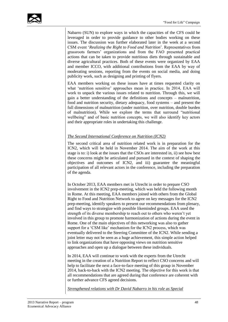Nabarro (SUN) to explore ways in which the capacities of the CFS could be leveraged in order to provide guidance to other bodies working on these issues. The discussion was further elaborated later in the week at a second CSM event '*Realizing the Right to Food and Nutrition*'. Representatives from grassroots farmers' organizations and from the FAO presented practical actions that can be taken to provide nutritious diets through sustainable and diverse agricultural practices. Both of these events were organized by EAA and member ICCO, with additional contributions from the EAA by way of moderating sessions, reporting from the events on social media, and doing publicity work, such as designing and printing of flyers.

EAA members working on these issues have at times requested clarity on what 'nutrition sensitive' approaches mean in practice. In 2014, EAA will work to unpack the various issues related to nutrition. Through this, we will gain a better understanding of the definitions and concepts – malnutrition, food and nutrition security, dietary adequacy, food systems – and present the full dimensions of malnutrition (under nutrition, over nutrition, double burden of malnutrition). While we explore the terms that surround "nutritional wellbeing" and of basic nutrition concepts, we will also identify key actors and their appropriate roles in undertaking this challenge.

### *The Second International Conference on Nutrition (ICN2)*

The second critical area of nutrition related work is in preparation for the ICN2, which will be held in November 2014. The aim of the work at this stage is to: i) look at the issues that the CSOs are interested in, ii) see how best these concerns might be articulated and pursued in the context of shaping the objectives and outcomes of ICN2, and iii) guarantee the meaningful participation of all relevant actors in the conference, including the preparation of the agenda.

In October 2013, EAA members met in Utrecht in order to prepare CSO involvement in the ICN2 prep-meeting, which was held the following month in Rome. At this meeting, EAA members joined with others from the Global Right to Food and Nutrition Network to agree on key messages for the ICN2 prep-meeting, identify speakers to present our recommendations from plenary, and find ways to strategize with possible likeminded groups. EAA used the strength of its diverse membership to reach out to others who weren't yet involved in this group to promote harmonization of actions during the event in Rome. One of the main objectives of this networking was also to gather support for a 'CSM like' mechanism for the ICN2 process, which was eventually delivered to the Steering Committee of the ICN2. While sending a joint letter may not be seen as a huge achievement, this simple action helped to link organizations that have opposing views on nutrition sensitive approaches and open up a dialogue between these individuals.

In 2014, EAA will continue to work with the experts from the Utrecht meeting in the creation of a Nutrition Report to reflect CSO concerns and will help to facilitate the next a face-to-face meeting of this group in November 2014, back-to-back with the ICN2 meeting. The objective for this work is that all recommendations that are agreed during that conference are coherent with or further advance CFS agreed decisions.

*Strengthened relations with Dr David Nabarro in his role as Special*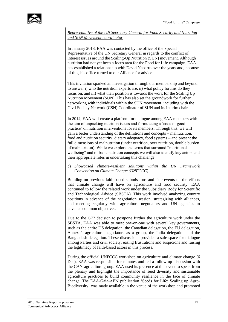

*Representative of the UN Secretary-General for Food Security and Nutrition and SUN Movement coordinator*

In January 2013, EAA was contacted by the office of the Special Representative of the UN Secretary General in regards to the conflict of interest issues around the Scaling-Up Nutrition (SUN) movement. Although nutrition had not yet been a focus area for the Food for Life campaign, EAA has established a relationship with David Nabarro over the years and, because of this, his office turned to our Alliance for advice.

This invitation sparked an investigation through our membership and beyond to answer i) who the nutrition experts are, ii) what policy forums do they focus on, and iii) what their position is towards the work for the Scaling Up Nutrition Movement (SUN). This has also set the groundwork for further networking with individuals within the SUN movement, including with the Civil Society Network (CSN) Coordinator of SUN and its interim chair.

In 2014, EAA will create a platform for dialogue among EAA members with the aim of unpacking nutrition issues and formulating a 'code of good practice' on nutrition interventions for its members. Through this, we will gain a better understanding of the definitions and concepts – malnutrition, food and nutrition security, dietary adequacy, food systems – and present the full dimensions of malnutrition (under nutrition, over nutrition, double burden of malnutrition). While we explore the terms that surround "nutritional wellbeing" and of basic nutrition concepts we will also identify key actors and their appropriate roles in undertaking this challenge.

c) *Showcased climate-resilient solutions within the UN Framework Convention on Climate Change (UNFCCC)*

Building on previous faith-based submissions and side events on the effects that climate change will have on agriculture and food security, EAA continued to follow the related work under the Subsidiary Body for Scientific and Technological Advice (SBSTA). This work involved analyzing country positions in advance of the negotiation session, strategizing with alliances, and meeting regularly with agriculture negotiators and UN agencies to advance common objectives.

Due to the G77 decision to postpone further the agriculture work under the SBSTA, EAA was able to meet one-on-one with several key governments, such as the entire US delegation, the Canadian delegation, the EU delegation, Annex 1 agriculture negotiators as a group, the India delegation and the Bangladesh delegation. These discussions provided a safe space for dialogue among Parties and civil society, easing frustrations and suspicions and raising the legitimacy of faith-based actors in this process.

During the official UNFCCC workshop on agriculture and climate change (6 Dec), EAA was responsible for minutes and led a follow up discussion with the CAN-agriculture group. EAA used its presence at this event to speak from the plenary and highlight the importance of seed diversity and sustainable agriculture practices to build community resilience in the face of climate change. The EAA-Gaia-ABN publication 'Seeds for Life: Scaling up Agro-Biodiversity' was made available in the venue of the workshop and promoted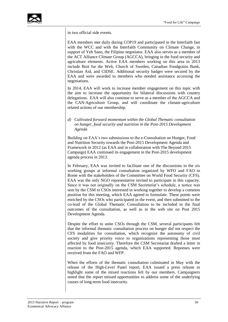

in two official side events.

EAA members met daily during COP19 and participated in the Interfaith fast with the WCC and with the Interfaith Community on Climate Change, in support of Yeb Sano, the Filipino negotiator. EAA also serves as a member of the ACT Alliance Climate Group (AGCCA), bringing in the food security and agriculture elements. Active EAA members working on this area in 2013 include Brot fur die Welt, Church of Sweden, Canadian Foodgrains Bank, Christian Aid, and CIDSE. Additional security badges were secured by the EAA and were awarded to members who needed assistance accessing the negotiations.

In 2014, EAA will work to increase member engagement on this topic with the aim to increase the opportunity for bilateral discussions with country delegations. EAA will also continue to serve as a member of the AGCCA and the CAN-Agriculture Group, and will coordinate the climate-agriculture related actions of our membership.

### *d) Cultivated forward momentum within the Global Thematic consultation on hunger, food security and nutrition in the Post-2015 Development Agenda*

Building on EAA's two submissions to the e-Consultation on Hunger, Food and Nutrition Security towards the Post-2015 Development Agenda and Framework in 2012 (as EAA and in collaboration with The Beyond 2015 Campaign) EAA continued its engagement in the Post-2015 development agenda process in 2013.

In February, EAA was invited to facilitate one of the discussions in the six working groups at informal consultation organized by WFO and FAO in Rome with the stakeholders of the Committee on World Food Security (CFS). EAA was the only NGO representative invited to participate in this capacity. Since it was not originally on the CSM Secretariat's schedule, a notice was sent by the CSM to CSOs interested in working together to develop a common position for this meeting, which EAA agreed to formulate. These points were enriched by the CSOs who participated in the event, and then submitted to the co-lead of the Global Thematic Consultation to be included in the final outcomes of the consultation, as well as in the web site on Post 2015 Development Agenda.

Despite the effort to unite CSOs through the CSM, several participants felt that the informal thematic consultation process on hunger did not respect the CFS modalities for consultation, which recognize the autonomy of civil society and give priority voice to organizations representing those most affected by food insecurity. Therefore the CSM Secretariat drafted a letter in reaction to the Post-2015 agenda, which EAA supported. Reponses were received from the FAO and WFP.

When the efforts of the thematic consultation culminated in May with the release of the High-Level Panel report, EAA issued a press release to highlight some of the mixed reactions felt by our members. Campaigners noted that the report missed opportunities to address some of the underlying causes of long-term food insecurity.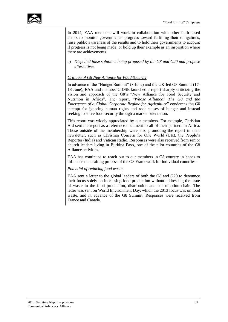

In 2014, EAA members will work in collaboration with other faith-based actors to monitor governments' progress toward fulfilling their obligations, raise public awareness of the results and to hold their governments to account if progress is not being made, or hold up their example as an inspiration where there are achievements.

e) *Dispelled false solutions being proposed by the G8 and G20 and propose alternatives*

### *Critique of G8 New Alliance for Food Security*

In advance of the "Hunger Summit" (8 June) and the UK-led G8 Summit (17- 18 June), EAA and member CIDSE launched a report sharply criticizing the vision and approach of the G8's "New Alliance for Food Security and Nutrition in Africa". The report, "*Whose Alliance? The G8 and the Emergence of a Global Corporate Regime for Agriculture*" condemns the G8 attempt for ignoring human rights and root causes of hunger and instead seeking to solve food security through a market orientation.

This report was widely appreciated by our members. For example, Christian Aid sent the report as a reference document to all of their partners in Africa. Those outside of the membership were also promoting the report in their newsletter, such as Christian Concern for One World (UK), the People's Reporter (India) and Vatican Radio. Responses were also received from senior church leaders living in Burkina Faso, one of the pilot countries of the G8 Alliance activities.

EAA has continued to reach out to our members in G8 country in hopes to influence the drafting process of the G8 Framework for individual countries.

### *Potential of reducing food waste*

EAA sent a letter to the global leaders of both the G8 and G20 to denounce their focus solely on increasing food production without addressing the issue of waste in the food production, distribution and consumption chain. The letter was sent on World Environment Day, which the 2013 focus was on food waste, and in advance of the G8 Summit. Responses were received from France and Canada.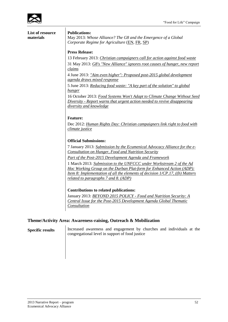

**List of resource materials**

#### **Publications:**

May 2013: *Whose Alliance? The G8 and the Emergence of a Global Corporate Regime for Agriculture* [\(EN,](http://www.e-alliance.ch/typo3conf/ext/naw_securedl/secure.php?u=0&file=fileadmin/user_upload/docs/All_Food/CIDSE/Whose_Alliance_The_G8___the_Emergence_of_a_Global_Corporate_Regime_for_Agriculture_May_2013.pdf&t=1394723712&hash=eaf5da0c1451d827f7b01e61977c81b1) [FR,](http://www.e-alliance.ch/typo3conf/ext/naw_securedl/secure.php?u=0&file=fileadmin/user_upload/docs/All_Food/CIDSE/A_qui_profite_lAlliance_-_recommandations_de_la_CIDSE_et_de_lEAA_-_mai_2013.pdf&t=1394723712&hash=70b3ca0bb2dd425cd97a3f9cb5239fd5) [SP\)](http://www.e-alliance.ch/typo3conf/ext/naw_securedl/secure.php?u=0&file=fileadmin/user_upload/docs/All_Food/CIDSE/Alianza_de_quiyn_recomendaciones_de_CIDSE_y_EAA_mayo_2013.pdf&t=1394723712&hash=51628fbbefc21425214b992bd6aae19d)

### **Press Release:**

13 February 2013: *[Christian campaigners call for action against food waste](http://www.e-alliance.ch/en/s/news/press-releases/single-view-press-release/article/2013/02/13/christian-campaigners-call-for-action-against-food-waste/)* 31 May 2013: *[G8's "New Alliance" ignores root causes of hunger, new report](http://www.e-alliance.ch/en/s/news/press-releases/single-view-press-release/article/2013/05/31/g8s-new-alliance-ignores-root-causes-of-hunger-new-report-claims/)  [claims](http://www.e-alliance.ch/en/s/news/press-releases/single-view-press-release/article/2013/05/31/g8s-new-alliance-ignores-root-causes-of-hunger-new-report-claims/)*

4 June 2013: *"Aim [even higher": Proposed post-2015 global development](http://www.e-alliance.ch/en/s/news/press-releases/single-view-press-release/article/2013/06/04/press-release-aim-even-higher-proposed-post-2015-global-development-agenda-draws-mixed-response/)  [agenda draws mixed response](http://www.e-alliance.ch/en/s/news/press-releases/single-view-press-release/article/2013/06/04/press-release-aim-even-higher-proposed-post-2015-global-development-agenda-draws-mixed-response/)*

5 June 2013: *[Reducing food waste: "A key part of the solution" to global](http://www.e-alliance.ch/en/s/news/press-releases/single-view-press-release/article/2013/06/05/press-release-reducing-food-waste-a-key-part-of-the-solution-to-global-hunger/)  [hunger](http://www.e-alliance.ch/en/s/news/press-releases/single-view-press-release/article/2013/06/05/press-release-reducing-food-waste-a-key-part-of-the-solution-to-global-hunger/)*

16 October 2013: *[Food Systems Won't Adapt to Climate Change Without Seed](http://www.e-alliance.ch/en/s/news/press-releases/single-view-press-release/article/2013/10/16/press-release-food-systems-wont-adapt-to-climate-change-without-seed-diversity-report-warns-that/)  Diversity - [Report warns that urgent action needed to revive disappearing](http://www.e-alliance.ch/en/s/news/press-releases/single-view-press-release/article/2013/10/16/press-release-food-systems-wont-adapt-to-climate-change-without-seed-diversity-report-warns-that/)  [diversity and knowledge](http://www.e-alliance.ch/en/s/news/press-releases/single-view-press-release/article/2013/10/16/press-release-food-systems-wont-adapt-to-climate-change-without-seed-diversity-report-warns-that/)*

### **Feature:**

Dec 2012: *[Human Rights Day: Christian campaigners link right to food with](http://www.e-alliance.ch/en/s/news/press-releases/single-view-press-release/article/2012/12/07/feature-human-rights-day-christian-campaigners-link-right-to-food-with-climate-justice/)  [climate justice](http://www.e-alliance.ch/en/s/news/press-releases/single-view-press-release/article/2012/12/07/feature-human-rights-day-christian-campaigners-link-right-to-food-with-climate-justice/)*

### **Official Submissions:**

7 January 2013: *[Submission by the Ecumenical Advocacy Alliance for the e-](http://www.e-alliance.ch/typo3conf/ext/naw_securedl/secure.php?u=0&file=fileadmin/user_upload/docs/EAA/Post_2015/EAA_contribution_for_e-Consultation_FINAL.pdf&t=1394725248&hash=ea429f763204f555e841c1c59c9a79e3)[Consultation on Hunger, Food and Nutrition Security](http://www.e-alliance.ch/typo3conf/ext/naw_securedl/secure.php?u=0&file=fileadmin/user_upload/docs/EAA/Post_2015/EAA_contribution_for_e-Consultation_FINAL.pdf&t=1394725248&hash=ea429f763204f555e841c1c59c9a79e3)*

*[Part of the Post-2015 Development Agenda and Framework](http://www.e-alliance.ch/typo3conf/ext/naw_securedl/secure.php?u=0&file=fileadmin/user_upload/docs/EAA/Post_2015/EAA_contribution_for_e-Consultation_FINAL.pdf&t=1394725248&hash=ea429f763204f555e841c1c59c9a79e3)*

1 March 2013: *[Submission to the UNFCCC under Workstream 2 of the Ad](http://www.e-alliance.ch/typo3conf/ext/naw_securedl/secure.php?u=0&file=fileadmin/user_upload/docs/All_Food/2013/2013_03_01_UNFCCCSubmission.pdf&t=1394727226&hash=a702aeb9c938e81a84b10e41a21468e3)  [Hoc Working Group on the Durban Plat-form for Enhanced Action \(ADP\):](http://www.e-alliance.ch/typo3conf/ext/naw_securedl/secure.php?u=0&file=fileadmin/user_upload/docs/All_Food/2013/2013_03_01_UNFCCCSubmission.pdf&t=1394727226&hash=a702aeb9c938e81a84b10e41a21468e3)  [Item 8: Implementation of all the elements of decision 1/CP.17, \(\(b\) Matters](http://www.e-alliance.ch/typo3conf/ext/naw_securedl/secure.php?u=0&file=fileadmin/user_upload/docs/All_Food/2013/2013_03_01_UNFCCCSubmission.pdf&t=1394727226&hash=a702aeb9c938e81a84b10e41a21468e3)  [related to paragraphs 7 and 8. \(ADP\)](http://www.e-alliance.ch/typo3conf/ext/naw_securedl/secure.php?u=0&file=fileadmin/user_upload/docs/All_Food/2013/2013_03_01_UNFCCCSubmission.pdf&t=1394727226&hash=a702aeb9c938e81a84b10e41a21468e3)*

### **Contributions to related publications:**

January 2013: *BEYOND 2015 POLICY - [Food and Nutrition Security: A](http://www.e-alliance.ch/fileadmin/user_upload/docs/All_Food/2013/Beyond2015_FNSPositionPaper_For_ExComm_Submission_FINAL_1.pdf)  [Central Issue for the Post-2015 Development Agenda Global Thematic](http://www.e-alliance.ch/fileadmin/user_upload/docs/All_Food/2013/Beyond2015_FNSPositionPaper_For_ExComm_Submission_FINAL_1.pdf)  [Consultation](http://www.e-alliance.ch/fileadmin/user_upload/docs/All_Food/2013/Beyond2015_FNSPositionPaper_For_ExComm_Submission_FINAL_1.pdf)*

### **Theme/Activity Area: Awareness-raising, Outreach & Mobilization**

**Specific results** Increased awareness and engagement by churches and individuals at the congregational level in support of food justice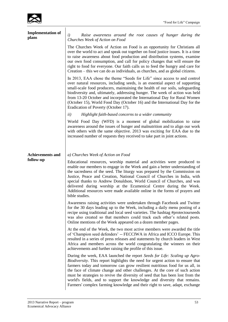

| <b>Implementation of</b><br>plans | $\left(i\right)$<br>Raise awareness around the root causes of hunger during the                                                                                                                                                                                                                                                                                                                                                                                                                                                                                         |
|-----------------------------------|-------------------------------------------------------------------------------------------------------------------------------------------------------------------------------------------------------------------------------------------------------------------------------------------------------------------------------------------------------------------------------------------------------------------------------------------------------------------------------------------------------------------------------------------------------------------------|
|                                   | Churches Week of Action on Food<br>The Churches Week of Action on Food is an opportunity for Christians all<br>over the world to act and speak out together on food justice issues. It is a time<br>to raise awareness about food production and distribution systems, examine<br>our own food consumption, and call for policy changes that will ensure the<br>right to food for everyone. Our faith calls us to feed the hungry and care for<br>Creation – this we can do as individuals, as churches, and as global citizens.                                        |
|                                   | In 2013, EAA chose the theme "Seeds for Life" since access to and control<br>over natural resources, including seeds, is an essential aspect of supporting<br>small-scale food producers, maintaining the health of our soils, safeguarding<br>biodiversity and, ultimately, addressing hunger. The week of action was held<br>from 13-20 October and incorporated the International Day for Rural Women<br>(October 15), World Food Day (October 16) and the International Day for the<br>Eradication of Poverty (October 17).                                         |
|                                   | Highlight faith-based concerns to a wider community<br>ii)                                                                                                                                                                                                                                                                                                                                                                                                                                                                                                              |
|                                   | World Food Day (WFD) is a moment of global mobilization to raise<br>awareness around the issues of hunger and malnutrition and to align our work<br>with others with the same objective. 2013 was exciting for EAA due to the<br>increased number of requests they received to take part in joint actions.                                                                                                                                                                                                                                                              |
| <b>Achievements and</b>           | a) Churches Week of Action on Food                                                                                                                                                                                                                                                                                                                                                                                                                                                                                                                                      |
| follow-up                         | Educational resources, worship material and activities were produced to<br>enable our members to engage in the Week and gain a better understanding of<br>the sacredness of the seed. The liturgy was prepared by the Commission on<br>Justice, Peace and Creation, National Council of Churches in India, with<br>special thanks to Andrew Donaldson, World Council of Churches, and was<br>delivered during worship at the Ecumenical Centre during the Week.<br>Additional resources were made available online in the forms of prayers and<br>bible studies.        |
|                                   | Awareness raising activities were undertaken through Facebook and Twitter<br>for the 30 days leading up to the Week, including a daily menu posting of a<br>recipe using traditional and local seed varieties. The hashtag #protectourseeds<br>was also created so that members could track each other's related posts.<br>Online mentions of the Week appeared on a dozen member pages.                                                                                                                                                                                |
|                                   | At the end of the Week, the two most active members were awarded the title<br>of 'Champion seed defenders' -- FECCIWA in Africa and ICCO Europe. This<br>resulted in a series of press releases and statements by church leaders in West<br>Africa and members across the world congratulating the winners on their<br>achievements and further raising the profile of this issue.                                                                                                                                                                                      |
|                                   | During the week, EAA launched the report Seeds for Life: Scaling up Agro-<br>Biodiversity. This report highlights the need for urgent action to ensure that<br>farmers today and tomorrow can grow resilient nutritious food for us all, in<br>the face of climate change and other challenges. At the core of such action<br>must be strategies to revive the diversity of seed that has been lost from the<br>world's fields, and to support the knowledge and diversity that remains.<br>Farmers' complex farming knowledge and their right to save, adapt, exchange |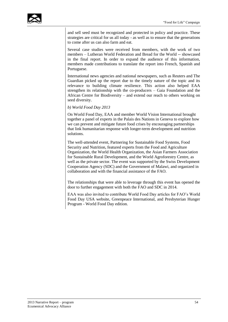

and sell seed must be recognized and protected in policy and practice. These strategies are critical for us all today - as well as to ensure that the generations to come after us can also farm and eat.

Several case studies were received from members, with the work of two members – Lutheran World Federation and Bread for the World -- showcased in the final report. In order to expand the audience of this information, members made contributions to translate the report into French, Spanish and Portuguese.

International news agencies and national newspapers, such as Reuters and The Guardian picked up the report due to the timely nature of the topic and its relevance to building climate resilience. This action also helped EAA strengthen its relationship with the co-producers – Gaia Foundation and the African Centre for Biodiversity – and extend our reach to others working on seed diversity.

#### *b) World Food Day 2013*

On World Food Day, EAA and member World Vision International brought together a panel of experts in the Palais des Nations in Geneva to explore how we can prevent and mitigate future food crises by encouraging partnerships that link humanitarian response with longer-term development and nutrition solutions.

The well-attended event, Partnering for Sustainable Food Systems, Food Security and Nutrition, featured experts from the Food and Agriculture Organization, the World Health Organization, the Asian Farmers Association for Sustainable Rural Development, and the World Agroforestry Centre, as well as the private sector. The event was supported by the Swiss Development Cooperation Agency (SDC) and the Government of Malawi, and organized in collaboration and with the financial assistance of the FAO.

The relationships that were able to leverage through this event has opened the door to further engagement with both the FAO and SDC in 2014.

EAA was also invited to contribute World Food Day articles for FAO's World Food Day USA website, Greenpeace International, and Presbyterian Hunger Program - World Food Day edition.